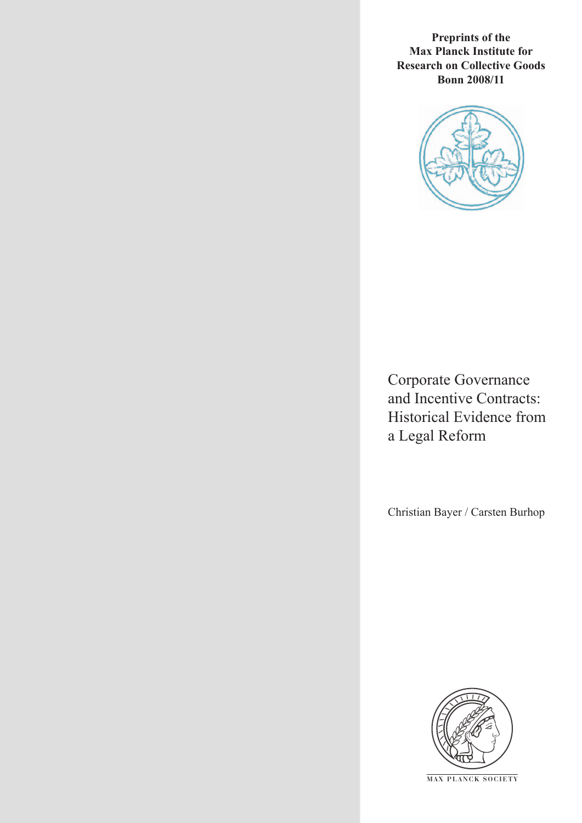**Preprints of the Max Planck Institute for Research on Collective Goods Bonn 2008/11**



Corporate Governance and Incentive Contracts: Historical Evidence from a Legal Reform

Christian Bayer / Carsten Burhop



**M AX P L A N C K S O C I E T Y**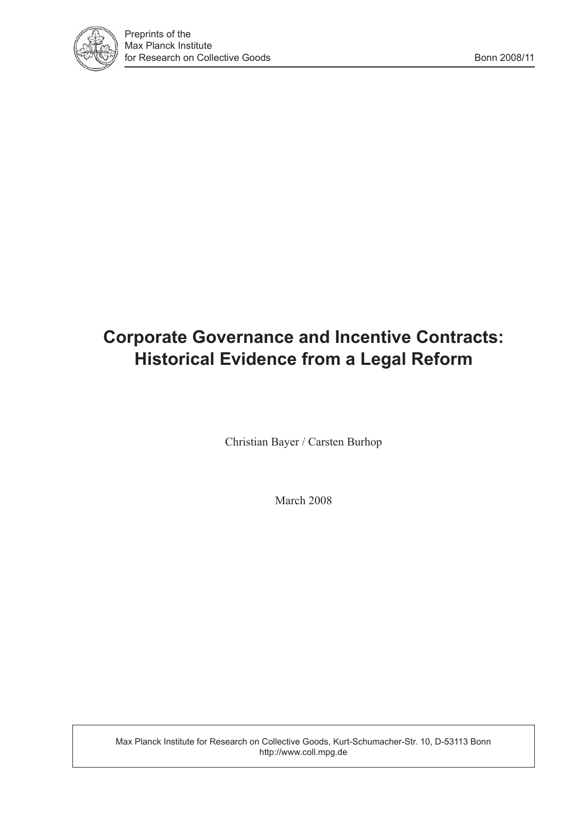

# **Corporate Governance and Incentive Contracts: Historical Evidence from a Legal Reform**

Christian Bayer / Carsten Burhop

March 2008

Max Planck Institute for Research on Collective Goods, Kurt-Schumacher-Str. 10, D-53113 Bonn http://www.coll.mpg.de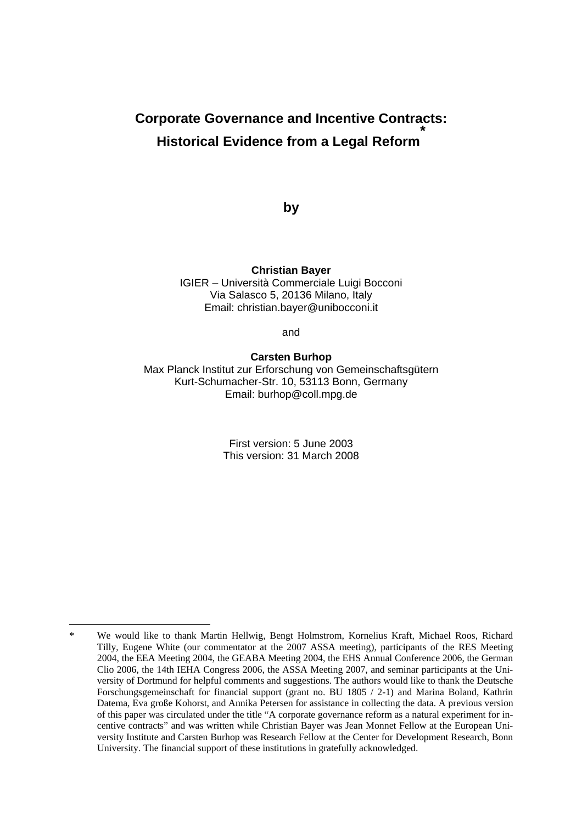#### **Corporate Governance and Incentive Contracts: Historical Evidence from a Legal Reform \***

**by** 

**Christian Bayer** 

IGIER – Università Commerciale Luigi Bocconi Via Salasco 5, 20136 Milano, Italy Email: christian.bayer@unibocconi.it

and

#### **Carsten Burhop**

Max Planck Institut zur Erforschung von Gemeinschaftsgütern Kurt-Schumacher-Str. 10, 53113 Bonn, Germany Email: burhop@coll.mpg.de

> First version: 5 June 2003 This version: 31 March 2008

-

We would like to thank Martin Hellwig, Bengt Holmstrom, Kornelius Kraft, Michael Roos, Richard Tilly, Eugene White (our commentator at the 2007 ASSA meeting), participants of the RES Meeting 2004, the EEA Meeting 2004, the GEABA Meeting 2004, the EHS Annual Conference 2006, the German Clio 2006, the 14th IEHA Congress 2006, the ASSA Meeting 2007, and seminar participants at the University of Dortmund for helpful comments and suggestions. The authors would like to thank the Deutsche Forschungsgemeinschaft for financial support (grant no. BU 1805 / 2-1) and Marina Boland, Kathrin Datema, Eva große Kohorst, and Annika Petersen for assistance in collecting the data. A previous version of this paper was circulated under the title "A corporate governance reform as a natural experiment for incentive contracts" and was written while Christian Bayer was Jean Monnet Fellow at the European University Institute and Carsten Burhop was Research Fellow at the Center for Development Research, Bonn University. The financial support of these institutions in gratefully acknowledged.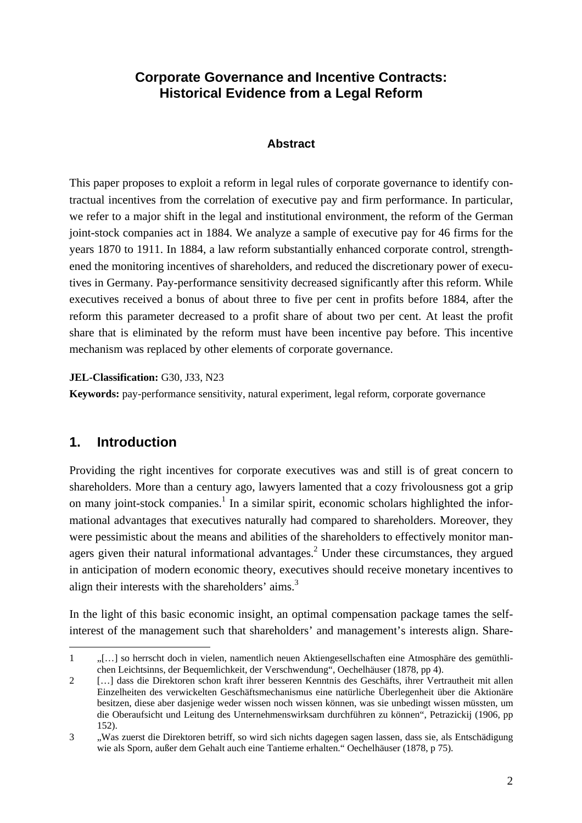# **Corporate Governance and Incentive Contracts: Historical Evidence from a Legal Reform**

### **Abstract**

This paper proposes to exploit a reform in legal rules of corporate governance to identify contractual incentives from the correlation of executive pay and firm performance. In particular, we refer to a major shift in the legal and institutional environment, the reform of the German joint-stock companies act in 1884. We analyze a sample of executive pay for 46 firms for the years 1870 to 1911. In 1884, a law reform substantially enhanced corporate control, strengthened the monitoring incentives of shareholders, and reduced the discretionary power of executives in Germany. Pay-performance sensitivity decreased significantly after this reform. While executives received a bonus of about three to five per cent in profits before 1884, after the reform this parameter decreased to a profit share of about two per cent. At least the profit share that is eliminated by the reform must have been incentive pay before. This incentive mechanism was replaced by other elements of corporate governance.

#### **JEL-Classification: G30, J33, N23**

**Keywords:** pay-performance sensitivity, natural experiment, legal reform, corporate governance

## **1. Introduction**

j

Providing the right incentives for corporate executives was and still is of great concern to shareholders. More than a century ago, lawyers lamented that a cozy frivolousness got a grip on many joint-stock companies.<sup>1</sup> In a similar spirit, economic scholars highlighted the informational advantages that executives naturally had compared to shareholders. Moreover, they were pessimistic about the means and abilities of the shareholders to effectively monitor managers given their natural informational advantages.<sup>2</sup> Under these circumstances, they argued in anticipation of modern economic theory, executives should receive monetary incentives to align their interests with the shareholders' aims. $3$ 

In the light of this basic economic insight, an optimal compensation package tames the selfinterest of the management such that shareholders' and management's interests align. Share-

<sup>1 &</sup>quot;[…] so herrscht doch in vielen, namentlich neuen Aktiengesellschaften eine Atmosphäre des gemüthlichen Leichtsinns, der Bequemlichkeit, der Verschwendung", Oechelhäuser (1878, pp 4).

<sup>2 […]</sup> dass die Direktoren schon kraft ihrer besseren Kenntnis des Geschäfts, ihrer Vertrautheit mit allen Einzelheiten des verwickelten Geschäftsmechanismus eine natürliche Überlegenheit über die Aktionäre besitzen, diese aber dasjenige weder wissen noch wissen können, was sie unbedingt wissen müssten, um die Oberaufsicht und Leitung des Unternehmenswirksam durchführen zu können", Petrazickij (1906, pp 152).

<sup>3 &</sup>quot;Was zuerst die Direktoren betriff, so wird sich nichts dagegen sagen lassen, dass sie, als Entschädigung wie als Sporn, außer dem Gehalt auch eine Tantieme erhalten." Oechelhäuser (1878, p 75).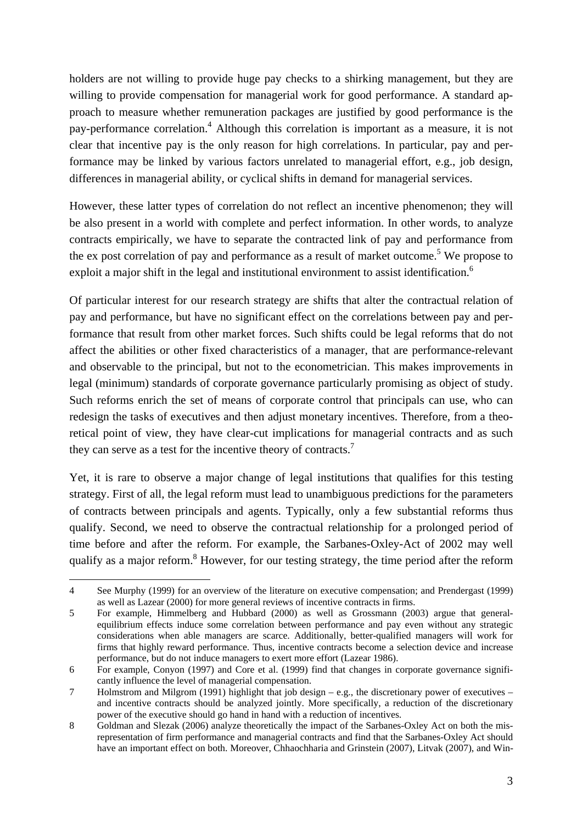holders are not willing to provide huge pay checks to a shirking management, but they are willing to provide compensation for managerial work for good performance. A standard approach to measure whether remuneration packages are justified by good performance is the pay-performance correlation.<sup>4</sup> Although this correlation is important as a measure, it is not clear that incentive pay is the only reason for high correlations. In particular, pay and performance may be linked by various factors unrelated to managerial effort, e.g., job design, differences in managerial ability, or cyclical shifts in demand for managerial services.

However, these latter types of correlation do not reflect an incentive phenomenon; they will be also present in a world with complete and perfect information. In other words, to analyze contracts empirically, we have to separate the contracted link of pay and performance from the ex post correlation of pay and performance as a result of market outcome.<sup>5</sup> We propose to exploit a major shift in the legal and institutional environment to assist identification.<sup>6</sup>

Of particular interest for our research strategy are shifts that alter the contractual relation of pay and performance, but have no significant effect on the correlations between pay and performance that result from other market forces. Such shifts could be legal reforms that do not affect the abilities or other fixed characteristics of a manager, that are performance-relevant and observable to the principal, but not to the econometrician. This makes improvements in legal (minimum) standards of corporate governance particularly promising as object of study. Such reforms enrich the set of means of corporate control that principals can use, who can redesign the tasks of executives and then adjust monetary incentives. Therefore, from a theoretical point of view, they have clear-cut implications for managerial contracts and as such they can serve as a test for the incentive theory of contracts.<sup>7</sup>

Yet, it is rare to observe a major change of legal institutions that qualifies for this testing strategy. First of all, the legal reform must lead to unambiguous predictions for the parameters of contracts between principals and agents. Typically, only a few substantial reforms thus qualify. Second, we need to observe the contractual relationship for a prolonged period of time before and after the reform. For example, the Sarbanes-Oxley-Act of 2002 may well qualify as a major reform.<sup>8</sup> However, for our testing strategy, the time period after the reform

<sup>4</sup> See Murphy (1999) for an overview of the literature on executive compensation; and Prendergast (1999) as well as Lazear (2000) for more general reviews of incentive contracts in firms.

<sup>5</sup> For example, Himmelberg and Hubbard (2000) as well as Grossmann (2003) argue that generalequilibrium effects induce some correlation between performance and pay even without any strategic considerations when able managers are scarce. Additionally, better-qualified managers will work for firms that highly reward performance. Thus, incentive contracts become a selection device and increase performance, but do not induce managers to exert more effort (Lazear 1986).

<sup>6</sup> For example, Conyon (1997) and Core et al. (1999) find that changes in corporate governance significantly influence the level of managerial compensation.

<sup>7</sup> Holmstrom and Milgrom (1991) highlight that job design – e.g., the discretionary power of executives – and incentive contracts should be analyzed jointly. More specifically, a reduction of the discretionary power of the executive should go hand in hand with a reduction of incentives.

<sup>8</sup> Goldman and Slezak (2006) analyze theoretically the impact of the Sarbanes-Oxley Act on both the misrepresentation of firm performance and managerial contracts and find that the Sarbanes-Oxley Act should have an important effect on both. Moreover, Chhaochharia and Grinstein (2007), Litvak (2007), and Win-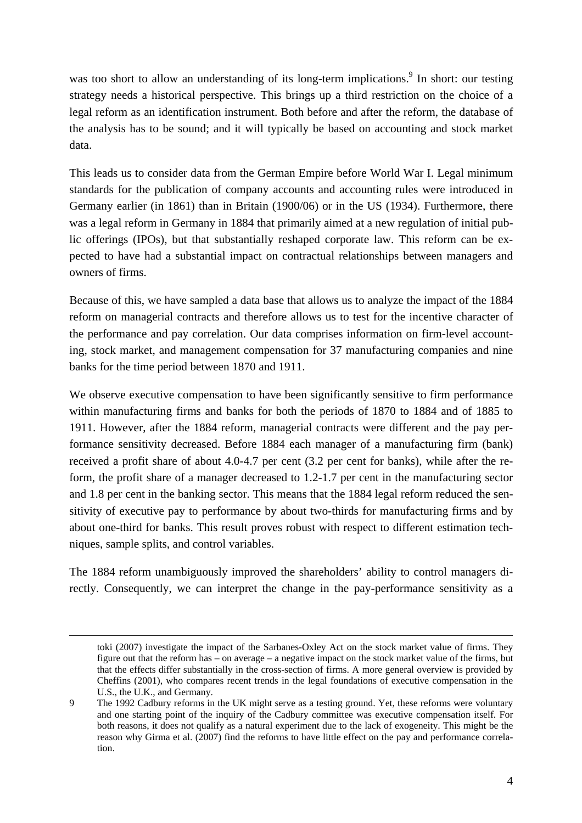was too short to allow an understanding of its long-term implications.<sup>9</sup> In short: our testing strategy needs a historical perspective. This brings up a third restriction on the choice of a legal reform as an identification instrument. Both before and after the reform, the database of the analysis has to be sound; and it will typically be based on accounting and stock market data.

This leads us to consider data from the German Empire before World War I. Legal minimum standards for the publication of company accounts and accounting rules were introduced in Germany earlier (in 1861) than in Britain (1900/06) or in the US (1934). Furthermore, there was a legal reform in Germany in 1884 that primarily aimed at a new regulation of initial public offerings (IPOs), but that substantially reshaped corporate law. This reform can be expected to have had a substantial impact on contractual relationships between managers and owners of firms.

Because of this, we have sampled a data base that allows us to analyze the impact of the 1884 reform on managerial contracts and therefore allows us to test for the incentive character of the performance and pay correlation. Our data comprises information on firm-level accounting, stock market, and management compensation for 37 manufacturing companies and nine banks for the time period between 1870 and 1911.

We observe executive compensation to have been significantly sensitive to firm performance within manufacturing firms and banks for both the periods of 1870 to 1884 and of 1885 to 1911. However, after the 1884 reform, managerial contracts were different and the pay performance sensitivity decreased. Before 1884 each manager of a manufacturing firm (bank) received a profit share of about 4.0-4.7 per cent (3.2 per cent for banks), while after the reform, the profit share of a manager decreased to 1.2-1.7 per cent in the manufacturing sector and 1.8 per cent in the banking sector. This means that the 1884 legal reform reduced the sensitivity of executive pay to performance by about two-thirds for manufacturing firms and by about one-third for banks. This result proves robust with respect to different estimation techniques, sample splits, and control variables.

The 1884 reform unambiguously improved the shareholders' ability to control managers directly. Consequently, we can interpret the change in the pay-performance sensitivity as a

toki (2007) investigate the impact of the Sarbanes-Oxley Act on the stock market value of firms. They figure out that the reform has – on average – a negative impact on the stock market value of the firms, but that the effects differ substantially in the cross-section of firms. A more general overview is provided by Cheffins (2001), who compares recent trends in the legal foundations of executive compensation in the U.S., the U.K., and Germany.

<sup>9</sup> The 1992 Cadbury reforms in the UK might serve as a testing ground. Yet, these reforms were voluntary and one starting point of the inquiry of the Cadbury committee was executive compensation itself. For both reasons, it does not qualify as a natural experiment due to the lack of exogeneity. This might be the reason why Girma et al. (2007) find the reforms to have little effect on the pay and performance correlation.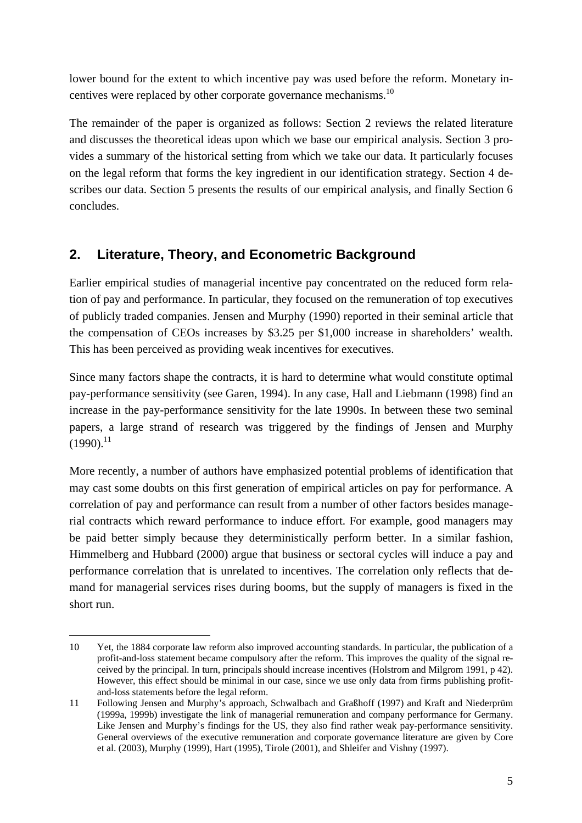lower bound for the extent to which incentive pay was used before the reform. Monetary incentives were replaced by other corporate governance mechanisms.<sup>10</sup>

The remainder of the paper is organized as follows: Section 2 reviews the related literature and discusses the theoretical ideas upon which we base our empirical analysis. Section 3 provides a summary of the historical setting from which we take our data. It particularly focuses on the legal reform that forms the key ingredient in our identification strategy. Section 4 describes our data. Section 5 presents the results of our empirical analysis, and finally Section 6 concludes.

# **2. Literature, Theory, and Econometric Background**

Earlier empirical studies of managerial incentive pay concentrated on the reduced form relation of pay and performance. In particular, they focused on the remuneration of top executives of publicly traded companies. Jensen and Murphy (1990) reported in their seminal article that the compensation of CEOs increases by \$3.25 per \$1,000 increase in shareholders' wealth. This has been perceived as providing weak incentives for executives.

Since many factors shape the contracts, it is hard to determine what would constitute optimal pay-performance sensitivity (see Garen, 1994). In any case, Hall and Liebmann (1998) find an increase in the pay-performance sensitivity for the late 1990s. In between these two seminal papers, a large strand of research was triggered by the findings of Jensen and Murphy  $(1990)^{11}$ 

More recently, a number of authors have emphasized potential problems of identification that may cast some doubts on this first generation of empirical articles on pay for performance. A correlation of pay and performance can result from a number of other factors besides managerial contracts which reward performance to induce effort. For example, good managers may be paid better simply because they deterministically perform better. In a similar fashion, Himmelberg and Hubbard (2000) argue that business or sectoral cycles will induce a pay and performance correlation that is unrelated to incentives. The correlation only reflects that demand for managerial services rises during booms, but the supply of managers is fixed in the short run.

<sup>10</sup> Yet, the 1884 corporate law reform also improved accounting standards. In particular, the publication of a profit-and-loss statement became compulsory after the reform. This improves the quality of the signal received by the principal. In turn, principals should increase incentives (Holstrom and Milgrom 1991, p 42). However, this effect should be minimal in our case, since we use only data from firms publishing profitand-loss statements before the legal reform.

<sup>11</sup> Following Jensen and Murphy's approach, Schwalbach and Graßhoff (1997) and Kraft and Niederprüm (1999a, 1999b) investigate the link of managerial remuneration and company performance for Germany. Like Jensen and Murphy's findings for the US, they also find rather weak pay-performance sensitivity. General overviews of the executive remuneration and corporate governance literature are given by Core et al. (2003), Murphy (1999), Hart (1995), Tirole (2001), and Shleifer and Vishny (1997).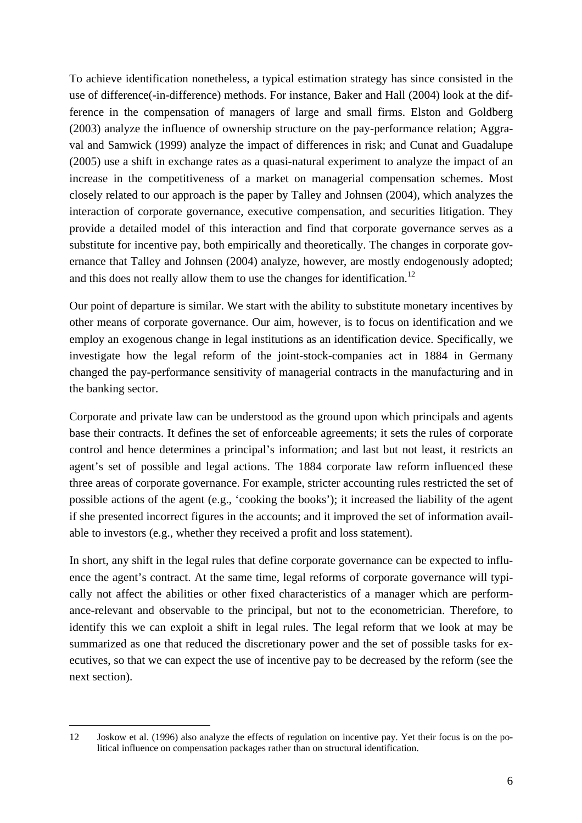To achieve identification nonetheless, a typical estimation strategy has since consisted in the use of difference(-in-difference) methods. For instance, Baker and Hall (2004) look at the difference in the compensation of managers of large and small firms. Elston and Goldberg (2003) analyze the influence of ownership structure on the pay-performance relation; Aggraval and Samwick (1999) analyze the impact of differences in risk; and Cunat and Guadalupe (2005) use a shift in exchange rates as a quasi-natural experiment to analyze the impact of an increase in the competitiveness of a market on managerial compensation schemes. Most closely related to our approach is the paper by Talley and Johnsen (2004), which analyzes the interaction of corporate governance, executive compensation, and securities litigation. They provide a detailed model of this interaction and find that corporate governance serves as a substitute for incentive pay, both empirically and theoretically. The changes in corporate governance that Talley and Johnsen (2004) analyze, however, are mostly endogenously adopted; and this does not really allow them to use the changes for identification.<sup>12</sup>

Our point of departure is similar. We start with the ability to substitute monetary incentives by other means of corporate governance. Our aim, however, is to focus on identification and we employ an exogenous change in legal institutions as an identification device. Specifically, we investigate how the legal reform of the joint-stock-companies act in 1884 in Germany changed the pay-performance sensitivity of managerial contracts in the manufacturing and in the banking sector.

Corporate and private law can be understood as the ground upon which principals and agents base their contracts. It defines the set of enforceable agreements; it sets the rules of corporate control and hence determines a principal's information; and last but not least, it restricts an agent's set of possible and legal actions. The 1884 corporate law reform influenced these three areas of corporate governance. For example, stricter accounting rules restricted the set of possible actions of the agent (e.g., 'cooking the books'); it increased the liability of the agent if she presented incorrect figures in the accounts; and it improved the set of information available to investors (e.g., whether they received a profit and loss statement).

In short, any shift in the legal rules that define corporate governance can be expected to influence the agent's contract. At the same time, legal reforms of corporate governance will typically not affect the abilities or other fixed characteristics of a manager which are performance-relevant and observable to the principal, but not to the econometrician. Therefore, to identify this we can exploit a shift in legal rules. The legal reform that we look at may be summarized as one that reduced the discretionary power and the set of possible tasks for executives, so that we can expect the use of incentive pay to be decreased by the reform (see the next section).

j 12 Joskow et al. (1996) also analyze the effects of regulation on incentive pay. Yet their focus is on the political influence on compensation packages rather than on structural identification.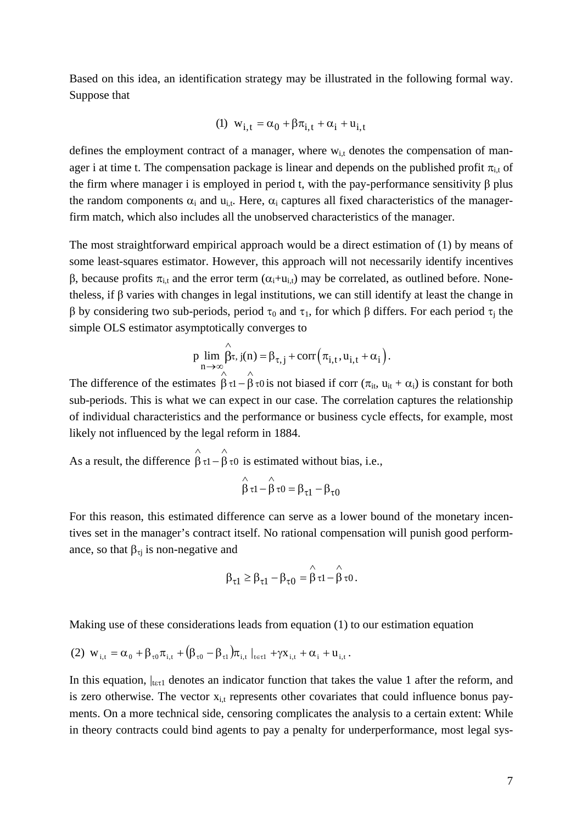Based on this idea, an identification strategy may be illustrated in the following formal way. Suppose that

(1) 
$$
w_{i,t} = \alpha_0 + \beta \pi_{i,t} + \alpha_i + u_{i,t}
$$

defines the employment contract of a manager, where  $w_{i,t}$  denotes the compensation of manager i at time t. The compensation package is linear and depends on the published profit  $\pi_{i,t}$  of the firm where manager i is employed in period t, with the pay-performance sensitivity  $\beta$  plus the random components  $\alpha_i$  and  $u_{i,t}$ . Here,  $\alpha_i$  captures all fixed characteristics of the managerfirm match, which also includes all the unobserved characteristics of the manager.

The most straightforward empirical approach would be a direct estimation of (1) by means of some least-squares estimator. However, this approach will not necessarily identify incentives β, because profits  $\pi_{i,t}$  and the error term ( $\alpha_i+u_{i,t}$ ) may be correlated, as outlined before. Nonetheless, if β varies with changes in legal institutions, we can still identify at least the change in β by considering two sub-periods, period τ<sub>0</sub> and τ<sub>1</sub>, for which β differs. For each period τ<sub>i</sub> the simple OLS estimator asymptotically converges to

$$
p \lim_{n \to \infty} \mathop{\beta \tau}_{\wedge}(n) = \beta_{\tau, j} + corr\Big(\pi_{i, t}, u_{i, t} + \alpha_i\Big).
$$

The difference of the estimates  $\beta \tau_1 - \beta \tau_0$  is not biased if corr  $(\pi_{it}, u_{it} + \alpha_i)$  is constant for both sub-periods. This is what we can expect in our case. The correlation captures the relationship of individual characteristics and the performance or business cycle effects, for example, most likely not influenced by the legal reform in 1884.

As a result, the difference  $\beta \tau_1 - \beta \tau_0$ ∧ ∧  $\beta \tau_1 - \beta \tau_0$  is estimated without bias, i.e.,

$$
\mathop{\beta}\limits^{\wedge} \tau1 - \mathop{\beta}\limits^{\wedge} \tau0 = \beta_{\tau1} - \beta_{\tau0}
$$

For this reason, this estimated difference can serve as a lower bound of the monetary incentives set in the manager's contract itself. No rational compensation will punish good performance, so that  $\beta_{\tau i}$  is non-negative and

$$
\beta_{\tau1} \geq \beta_{\tau1} - \beta_{\tau0} = \overset{\wedge}{\beta} {\tau1} - \overset{\wedge}{\beta} {\tau0}.
$$

Making use of these considerations leads from equation (1) to our estimation equation

(2) 
$$
w_{i,t} = \alpha_0 + \beta_{\tau 0} \pi_{i,t} + (\beta_{\tau 0} - \beta_{\tau 1}) \pi_{i,t} |_{t \in \tau 1} + \gamma x_{i,t} + \alpha_i + u_{i,t}.
$$

In this equation,  $\vert_{t \in \tau}$  denotes an indicator function that takes the value 1 after the reform, and is zero otherwise. The vector  $x_{i,t}$  represents other covariates that could influence bonus payments. On a more technical side, censoring complicates the analysis to a certain extent: While in theory contracts could bind agents to pay a penalty for underperformance, most legal sys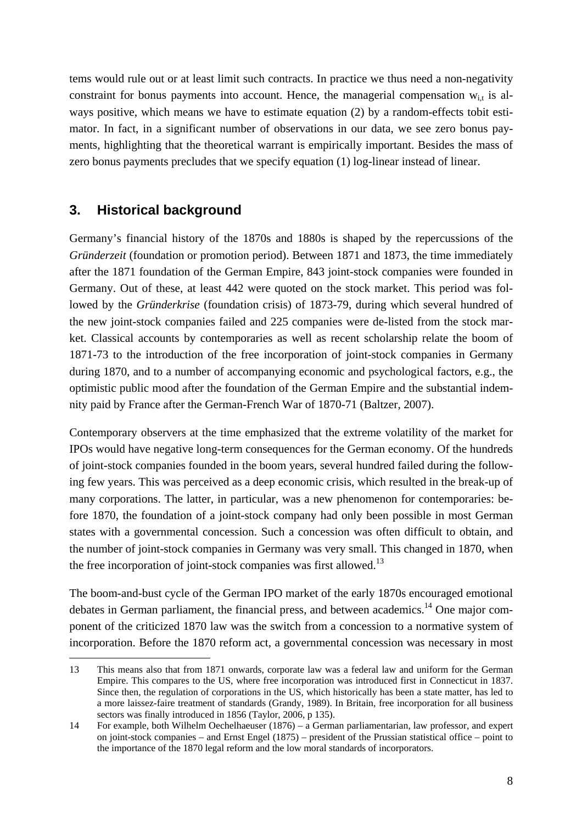tems would rule out or at least limit such contracts. In practice we thus need a non-negativity constraint for bonus payments into account. Hence, the managerial compensation  $w_{i,t}$  is always positive, which means we have to estimate equation (2) by a random-effects tobit estimator. In fact, in a significant number of observations in our data, we see zero bonus payments, highlighting that the theoretical warrant is empirically important. Besides the mass of zero bonus payments precludes that we specify equation (1) log-linear instead of linear.

# **3. Historical background**

-

Germany's financial history of the 1870s and 1880s is shaped by the repercussions of the *Gründerzeit* (foundation or promotion period). Between 1871 and 1873, the time immediately after the 1871 foundation of the German Empire, 843 joint-stock companies were founded in Germany. Out of these, at least 442 were quoted on the stock market. This period was followed by the *Gründerkrise* (foundation crisis) of 1873-79, during which several hundred of the new joint-stock companies failed and 225 companies were de-listed from the stock market. Classical accounts by contemporaries as well as recent scholarship relate the boom of 1871-73 to the introduction of the free incorporation of joint-stock companies in Germany during 1870, and to a number of accompanying economic and psychological factors, e.g., the optimistic public mood after the foundation of the German Empire and the substantial indemnity paid by France after the German-French War of 1870-71 (Baltzer, 2007).

Contemporary observers at the time emphasized that the extreme volatility of the market for IPOs would have negative long-term consequences for the German economy. Of the hundreds of joint-stock companies founded in the boom years, several hundred failed during the following few years. This was perceived as a deep economic crisis, which resulted in the break-up of many corporations. The latter, in particular, was a new phenomenon for contemporaries: before 1870, the foundation of a joint-stock company had only been possible in most German states with a governmental concession. Such a concession was often difficult to obtain, and the number of joint-stock companies in Germany was very small. This changed in 1870, when the free incorporation of joint-stock companies was first allowed.<sup>13</sup>

The boom-and-bust cycle of the German IPO market of the early 1870s encouraged emotional debates in German parliament, the financial press, and between academics.<sup>14</sup> One major component of the criticized 1870 law was the switch from a concession to a normative system of incorporation. Before the 1870 reform act, a governmental concession was necessary in most

<sup>13</sup> This means also that from 1871 onwards, corporate law was a federal law and uniform for the German Empire. This compares to the US, where free incorporation was introduced first in Connecticut in 1837. Since then, the regulation of corporations in the US, which historically has been a state matter, has led to a more laissez-faire treatment of standards (Grandy, 1989). In Britain, free incorporation for all business sectors was finally introduced in 1856 (Taylor, 2006, p 135).

<sup>14</sup> For example, both Wilhelm Oechelhaeuser (1876) – a German parliamentarian, law professor, and expert on joint-stock companies – and Ernst Engel (1875) – president of the Prussian statistical office – point to the importance of the 1870 legal reform and the low moral standards of incorporators.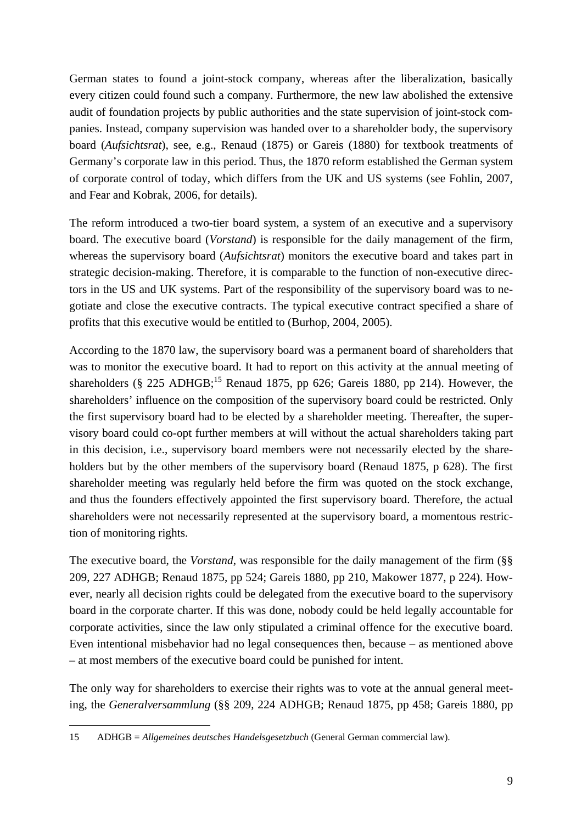German states to found a joint-stock company, whereas after the liberalization, basically every citizen could found such a company. Furthermore, the new law abolished the extensive audit of foundation projects by public authorities and the state supervision of joint-stock companies. Instead, company supervision was handed over to a shareholder body, the supervisory board (*Aufsichtsrat*), see, e.g., Renaud (1875) or Gareis (1880) for textbook treatments of Germany's corporate law in this period. Thus, the 1870 reform established the German system of corporate control of today, which differs from the UK and US systems (see Fohlin, 2007, and Fear and Kobrak, 2006, for details).

The reform introduced a two-tier board system, a system of an executive and a supervisory board. The executive board (*Vorstand*) is responsible for the daily management of the firm, whereas the supervisory board (*Aufsichtsrat*) monitors the executive board and takes part in strategic decision-making. Therefore, it is comparable to the function of non-executive directors in the US and UK systems. Part of the responsibility of the supervisory board was to negotiate and close the executive contracts. The typical executive contract specified a share of profits that this executive would be entitled to (Burhop, 2004, 2005).

According to the 1870 law, the supervisory board was a permanent board of shareholders that was to monitor the executive board. It had to report on this activity at the annual meeting of shareholders (§ 225 ADHGB;<sup>15</sup> Renaud 1875, pp 626; Gareis 1880, pp 214). However, the shareholders' influence on the composition of the supervisory board could be restricted. Only the first supervisory board had to be elected by a shareholder meeting. Thereafter, the supervisory board could co-opt further members at will without the actual shareholders taking part in this decision, i.e., supervisory board members were not necessarily elected by the shareholders but by the other members of the supervisory board (Renaud 1875, p 628). The first shareholder meeting was regularly held before the firm was quoted on the stock exchange, and thus the founders effectively appointed the first supervisory board. Therefore, the actual shareholders were not necessarily represented at the supervisory board, a momentous restriction of monitoring rights.

The executive board, the *Vorstand*, was responsible for the daily management of the firm (§§ 209, 227 ADHGB; Renaud 1875, pp 524; Gareis 1880, pp 210, Makower 1877, p 224). However, nearly all decision rights could be delegated from the executive board to the supervisory board in the corporate charter. If this was done, nobody could be held legally accountable for corporate activities, since the law only stipulated a criminal offence for the executive board. Even intentional misbehavior had no legal consequences then, because – as mentioned above – at most members of the executive board could be punished for intent.

The only way for shareholders to exercise their rights was to vote at the annual general meeting, the *Generalversammlung* (§§ 209, 224 ADHGB; Renaud 1875, pp 458; Gareis 1880, pp

<sup>15</sup> ADHGB = *Allgemeines deutsches Handelsgesetzbuch* (General German commercial law).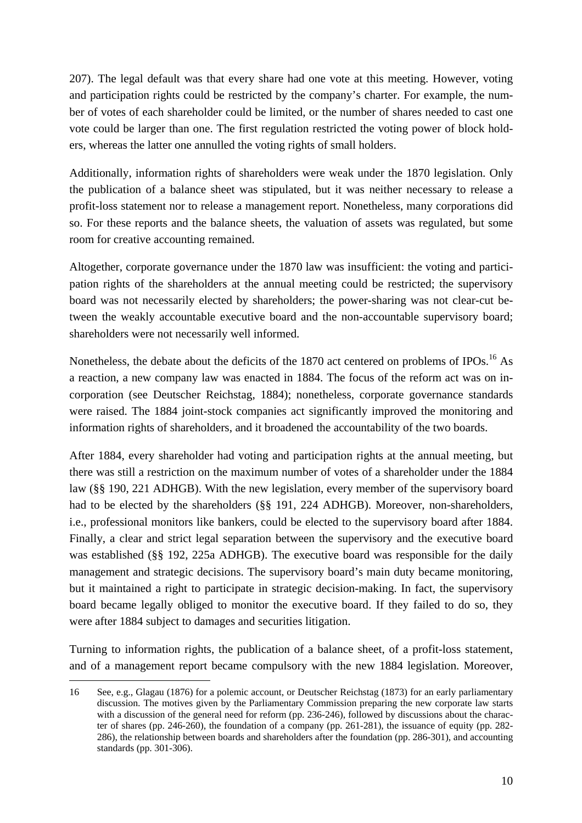207). The legal default was that every share had one vote at this meeting. However, voting and participation rights could be restricted by the company's charter. For example, the number of votes of each shareholder could be limited, or the number of shares needed to cast one vote could be larger than one. The first regulation restricted the voting power of block holders, whereas the latter one annulled the voting rights of small holders.

Additionally, information rights of shareholders were weak under the 1870 legislation. Only the publication of a balance sheet was stipulated, but it was neither necessary to release a profit-loss statement nor to release a management report. Nonetheless, many corporations did so. For these reports and the balance sheets, the valuation of assets was regulated, but some room for creative accounting remained.

Altogether, corporate governance under the 1870 law was insufficient: the voting and participation rights of the shareholders at the annual meeting could be restricted; the supervisory board was not necessarily elected by shareholders; the power-sharing was not clear-cut between the weakly accountable executive board and the non-accountable supervisory board; shareholders were not necessarily well informed.

Nonetheless, the debate about the deficits of the 1870 act centered on problems of IPOs.<sup>16</sup> As a reaction, a new company law was enacted in 1884. The focus of the reform act was on incorporation (see Deutscher Reichstag, 1884); nonetheless, corporate governance standards were raised. The 1884 joint-stock companies act significantly improved the monitoring and information rights of shareholders, and it broadened the accountability of the two boards.

After 1884, every shareholder had voting and participation rights at the annual meeting, but there was still a restriction on the maximum number of votes of a shareholder under the 1884 law (§§ 190, 221 ADHGB). With the new legislation, every member of the supervisory board had to be elected by the shareholders (§§ 191, 224 ADHGB). Moreover, non-shareholders, i.e., professional monitors like bankers, could be elected to the supervisory board after 1884. Finally, a clear and strict legal separation between the supervisory and the executive board was established (§§ 192, 225a ADHGB). The executive board was responsible for the daily management and strategic decisions. The supervisory board's main duty became monitoring, but it maintained a right to participate in strategic decision-making. In fact, the supervisory board became legally obliged to monitor the executive board. If they failed to do so, they were after 1884 subject to damages and securities litigation.

Turning to information rights, the publication of a balance sheet, of a profit-loss statement, and of a management report became compulsory with the new 1884 legislation. Moreover,

<sup>16</sup> See, e.g., Glagau (1876) for a polemic account, or Deutscher Reichstag (1873) for an early parliamentary discussion. The motives given by the Parliamentary Commission preparing the new corporate law starts with a discussion of the general need for reform (pp. 236-246), followed by discussions about the character of shares (pp. 246-260), the foundation of a company (pp. 261-281), the issuance of equity (pp. 282- 286), the relationship between boards and shareholders after the foundation (pp. 286-301), and accounting standards (pp. 301-306).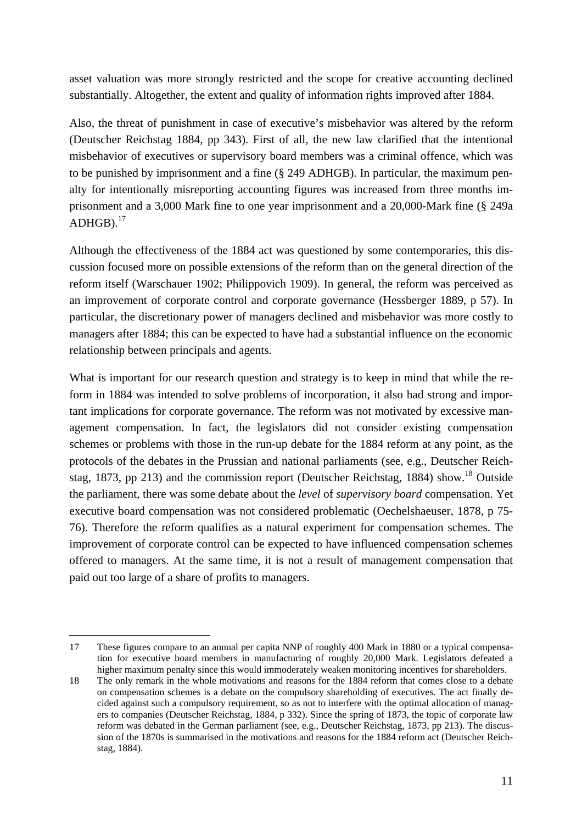asset valuation was more strongly restricted and the scope for creative accounting declined substantially. Altogether, the extent and quality of information rights improved after 1884.

Also, the threat of punishment in case of executive's misbehavior was altered by the reform (Deutscher Reichstag 1884, pp 343). First of all, the new law clarified that the intentional misbehavior of executives or supervisory board members was a criminal offence, which was to be punished by imprisonment and a fine (§ 249 ADHGB). In particular, the maximum penalty for intentionally misreporting accounting figures was increased from three months imprisonment and a 3,000 Mark fine to one year imprisonment and a 20,000-Mark fine (§ 249a  $ADHGB$ ). $^{17}$ 

Although the effectiveness of the 1884 act was questioned by some contemporaries, this discussion focused more on possible extensions of the reform than on the general direction of the reform itself (Warschauer 1902; Philippovich 1909). In general, the reform was perceived as an improvement of corporate control and corporate governance (Hessberger 1889, p 57). In particular, the discretionary power of managers declined and misbehavior was more costly to managers after 1884; this can be expected to have had a substantial influence on the economic relationship between principals and agents.

What is important for our research question and strategy is to keep in mind that while the reform in 1884 was intended to solve problems of incorporation, it also had strong and important implications for corporate governance. The reform was not motivated by excessive management compensation. In fact, the legislators did not consider existing compensation schemes or problems with those in the run-up debate for the 1884 reform at any point, as the protocols of the debates in the Prussian and national parliaments (see, e.g., Deutscher Reichstag, 1873, pp 213) and the commission report (Deutscher Reichstag, 1884) show.<sup>18</sup> Outside the parliament, there was some debate about the *level* of *supervisory board* compensation. Yet executive board compensation was not considered problematic (Oechelshaeuser, 1878, p 75- 76). Therefore the reform qualifies as a natural experiment for compensation schemes. The improvement of corporate control can be expected to have influenced compensation schemes offered to managers. At the same time, it is not a result of management compensation that paid out too large of a share of profits to managers.

j 17 These figures compare to an annual per capita NNP of roughly 400 Mark in 1880 or a typical compensation for executive board members in manufacturing of roughly 20,000 Mark. Legislators defeated a higher maximum penalty since this would immoderately weaken monitoring incentives for shareholders.

<sup>18</sup> The only remark in the whole motivations and reasons for the 1884 reform that comes close to a debate on compensation schemes is a debate on the compulsory shareholding of executives. The act finally decided against such a compulsory requirement, so as not to interfere with the optimal allocation of managers to companies (Deutscher Reichstag, 1884, p 332). Since the spring of 1873, the topic of corporate law reform was debated in the German parliament (see, e.g., Deutscher Reichstag, 1873, pp 213). The discussion of the 1870s is summarised in the motivations and reasons for the 1884 reform act (Deutscher Reichstag, 1884).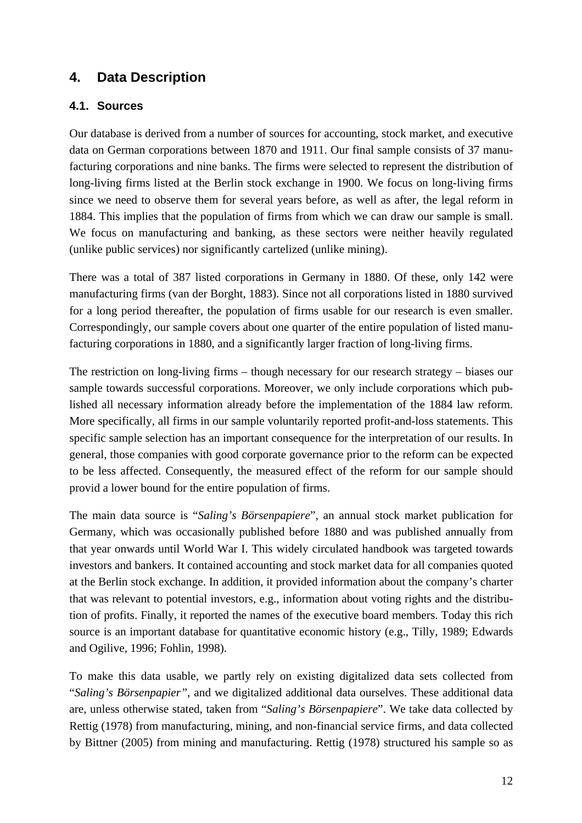# **4. Data Description**

### **4.1. Sources**

Our database is derived from a number of sources for accounting, stock market, and executive data on German corporations between 1870 and 1911. Our final sample consists of 37 manufacturing corporations and nine banks. The firms were selected to represent the distribution of long-living firms listed at the Berlin stock exchange in 1900. We focus on long-living firms since we need to observe them for several years before, as well as after, the legal reform in 1884. This implies that the population of firms from which we can draw our sample is small. We focus on manufacturing and banking, as these sectors were neither heavily regulated (unlike public services) nor significantly cartelized (unlike mining).

There was a total of 387 listed corporations in Germany in 1880. Of these, only 142 were manufacturing firms (van der Borght, 1883). Since not all corporations listed in 1880 survived for a long period thereafter, the population of firms usable for our research is even smaller. Correspondingly, our sample covers about one quarter of the entire population of listed manufacturing corporations in 1880, and a significantly larger fraction of long-living firms.

The restriction on long-living firms – though necessary for our research strategy – biases our sample towards successful corporations. Moreover, we only include corporations which published all necessary information already before the implementation of the 1884 law reform. More specifically, all firms in our sample voluntarily reported profit-and-loss statements. This specific sample selection has an important consequence for the interpretation of our results. In general, those companies with good corporate governance prior to the reform can be expected to be less affected. Consequently, the measured effect of the reform for our sample should provid a lower bound for the entire population of firms.

The main data source is "*Saling's Börsenpapiere*", an annual stock market publication for Germany, which was occasionally published before 1880 and was published annually from that year onwards until World War I. This widely circulated handbook was targeted towards investors and bankers. It contained accounting and stock market data for all companies quoted at the Berlin stock exchange. In addition, it provided information about the company's charter that was relevant to potential investors, e.g., information about voting rights and the distribution of profits. Finally, it reported the names of the executive board members. Today this rich source is an important database for quantitative economic history (e.g., Tilly, 1989; Edwards and Ogilive, 1996; Fohlin, 1998).

To make this data usable, we partly rely on existing digitalized data sets collected from "*Saling's Börsenpapier"*, and we digitalized additional data ourselves. These additional data are, unless otherwise stated, taken from "*Saling's Börsenpapiere*". We take data collected by Rettig (1978) from manufacturing, mining, and non-financial service firms, and data collected by Bittner (2005) from mining and manufacturing. Rettig (1978) structured his sample so as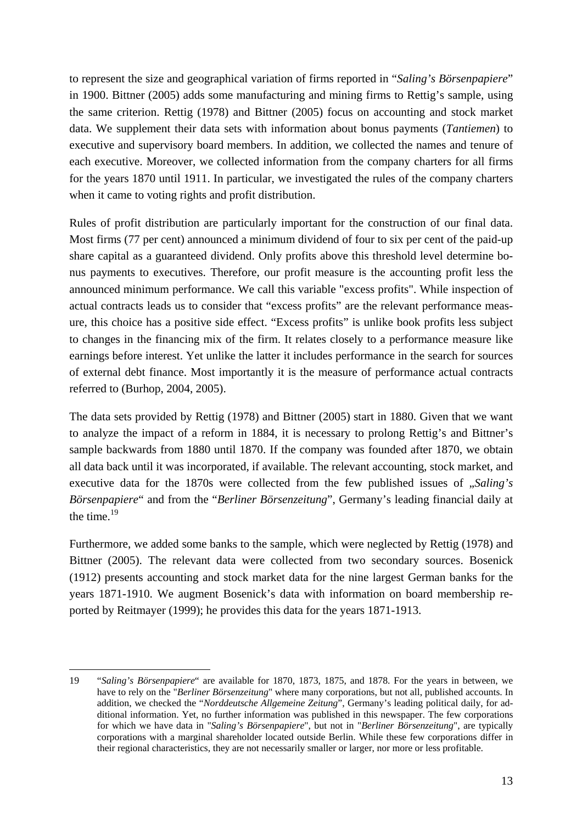to represent the size and geographical variation of firms reported in "*Saling's Börsenpapiere*" in 1900. Bittner (2005) adds some manufacturing and mining firms to Rettig's sample, using the same criterion. Rettig (1978) and Bittner (2005) focus on accounting and stock market data. We supplement their data sets with information about bonus payments (*Tantiemen*) to executive and supervisory board members. In addition, we collected the names and tenure of each executive. Moreover, we collected information from the company charters for all firms for the years 1870 until 1911. In particular, we investigated the rules of the company charters when it came to voting rights and profit distribution.

Rules of profit distribution are particularly important for the construction of our final data. Most firms (77 per cent) announced a minimum dividend of four to six per cent of the paid-up share capital as a guaranteed dividend. Only profits above this threshold level determine bonus payments to executives. Therefore, our profit measure is the accounting profit less the announced minimum performance. We call this variable "excess profits". While inspection of actual contracts leads us to consider that "excess profits" are the relevant performance measure, this choice has a positive side effect. "Excess profits" is unlike book profits less subject to changes in the financing mix of the firm. It relates closely to a performance measure like earnings before interest. Yet unlike the latter it includes performance in the search for sources of external debt finance. Most importantly it is the measure of performance actual contracts referred to (Burhop, 2004, 2005).

The data sets provided by Rettig (1978) and Bittner (2005) start in 1880. Given that we want to analyze the impact of a reform in 1884, it is necessary to prolong Rettig's and Bittner's sample backwards from 1880 until 1870. If the company was founded after 1870, we obtain all data back until it was incorporated, if available. The relevant accounting, stock market, and executive data for the 1870s were collected from the few published issues of "*Saling's Börsenpapiere*" and from the "*Berliner Börsenzeitung*", Germany's leading financial daily at the time. $19$ 

Furthermore, we added some banks to the sample, which were neglected by Rettig (1978) and Bittner (2005). The relevant data were collected from two secondary sources. Bosenick (1912) presents accounting and stock market data for the nine largest German banks for the years 1871-1910. We augment Bosenick's data with information on board membership reported by Reitmayer (1999); he provides this data for the years 1871-1913.

<sup>19 &</sup>quot;*Saling's Börsenpapiere*" are available for 1870, 1873, 1875, and 1878. For the years in between, we have to rely on the "*Berliner Börsenzeitung*" where many corporations, but not all, published accounts. In addition, we checked the "*Norddeutsche Allgemeine Zeitung*", Germany's leading political daily, for additional information. Yet, no further information was published in this newspaper. The few corporations for which we have data in "*Saling's Börsenpapiere*", but not in "*Berliner Börsenzeitung*", are typically corporations with a marginal shareholder located outside Berlin. While these few corporations differ in their regional characteristics, they are not necessarily smaller or larger, nor more or less profitable.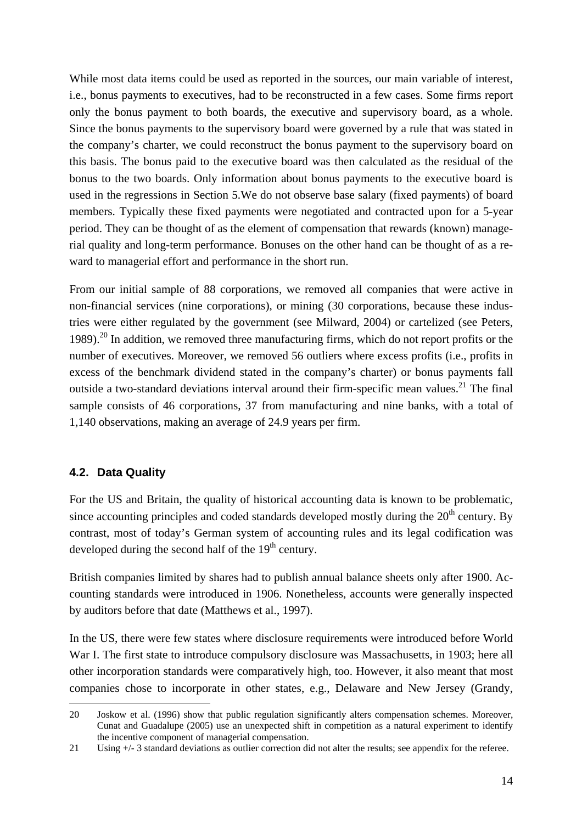While most data items could be used as reported in the sources, our main variable of interest, i.e., bonus payments to executives, had to be reconstructed in a few cases. Some firms report only the bonus payment to both boards, the executive and supervisory board, as a whole. Since the bonus payments to the supervisory board were governed by a rule that was stated in the company's charter, we could reconstruct the bonus payment to the supervisory board on this basis. The bonus paid to the executive board was then calculated as the residual of the bonus to the two boards. Only information about bonus payments to the executive board is used in the regressions in Section 5.We do not observe base salary (fixed payments) of board members. Typically these fixed payments were negotiated and contracted upon for a 5-year period. They can be thought of as the element of compensation that rewards (known) managerial quality and long-term performance. Bonuses on the other hand can be thought of as a reward to managerial effort and performance in the short run.

From our initial sample of 88 corporations, we removed all companies that were active in non-financial services (nine corporations), or mining (30 corporations, because these industries were either regulated by the government (see Milward, 2004) or cartelized (see Peters, 1989).<sup>20</sup> In addition, we removed three manufacturing firms, which do not report profits or the number of executives. Moreover, we removed 56 outliers where excess profits (i.e., profits in excess of the benchmark dividend stated in the company's charter) or bonus payments fall outside a two-standard deviations interval around their firm-specific mean values.<sup>21</sup> The final sample consists of 46 corporations, 37 from manufacturing and nine banks, with a total of 1,140 observations, making an average of 24.9 years per firm.

### **4.2. Data Quality**

For the US and Britain, the quality of historical accounting data is known to be problematic, since accounting principles and coded standards developed mostly during the  $20<sup>th</sup>$  century. By contrast, most of today's German system of accounting rules and its legal codification was developed during the second half of the  $19<sup>th</sup>$  century.

British companies limited by shares had to publish annual balance sheets only after 1900. Accounting standards were introduced in 1906. Nonetheless, accounts were generally inspected by auditors before that date (Matthews et al., 1997).

In the US, there were few states where disclosure requirements were introduced before World War I. The first state to introduce compulsory disclosure was Massachusetts, in 1903; here all other incorporation standards were comparatively high, too. However, it also meant that most companies chose to incorporate in other states, e.g., Delaware and New Jersey (Grandy,

j 20 Joskow et al. (1996) show that public regulation significantly alters compensation schemes. Moreover, Cunat and Guadalupe (2005) use an unexpected shift in competition as a natural experiment to identify the incentive component of managerial compensation.

<sup>21</sup> Using +/- 3 standard deviations as outlier correction did not alter the results; see appendix for the referee.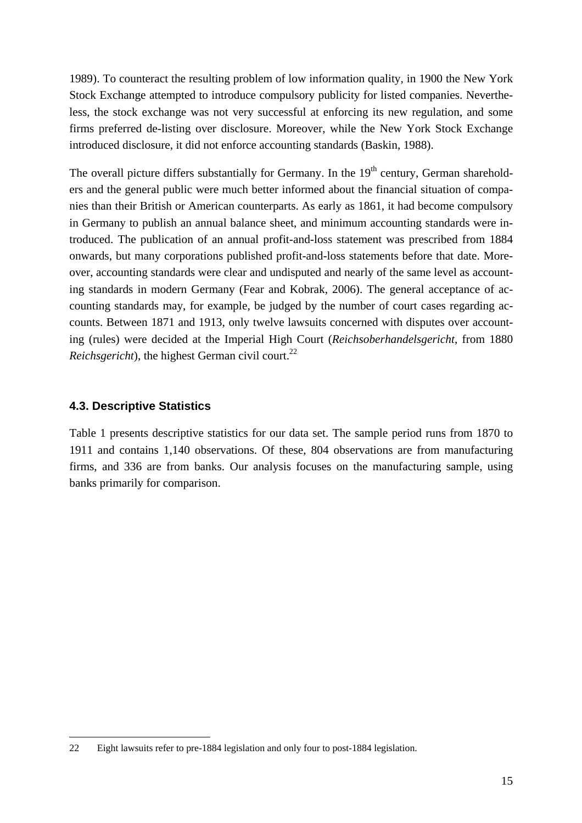1989). To counteract the resulting problem of low information quality, in 1900 the New York Stock Exchange attempted to introduce compulsory publicity for listed companies. Nevertheless, the stock exchange was not very successful at enforcing its new regulation, and some firms preferred de-listing over disclosure. Moreover, while the New York Stock Exchange introduced disclosure, it did not enforce accounting standards (Baskin, 1988).

The overall picture differs substantially for Germany. In the  $19<sup>th</sup>$  century, German shareholders and the general public were much better informed about the financial situation of companies than their British or American counterparts. As early as 1861, it had become compulsory in Germany to publish an annual balance sheet, and minimum accounting standards were introduced. The publication of an annual profit-and-loss statement was prescribed from 1884 onwards, but many corporations published profit-and-loss statements before that date. Moreover, accounting standards were clear and undisputed and nearly of the same level as accounting standards in modern Germany (Fear and Kobrak, 2006). The general acceptance of accounting standards may, for example, be judged by the number of court cases regarding accounts. Between 1871 and 1913, only twelve lawsuits concerned with disputes over accounting (rules) were decided at the Imperial High Court (*Reichsoberhandelsgericht*, from 1880 *Reichsgericht*), the highest German civil court.<sup>22</sup>

#### **4.3. Descriptive Statistics**

 $\overline{a}$ 

Table 1 presents descriptive statistics for our data set. The sample period runs from 1870 to 1911 and contains 1,140 observations. Of these, 804 observations are from manufacturing firms, and 336 are from banks. Our analysis focuses on the manufacturing sample, using banks primarily for comparison.

<sup>22</sup> Eight lawsuits refer to pre-1884 legislation and only four to post-1884 legislation.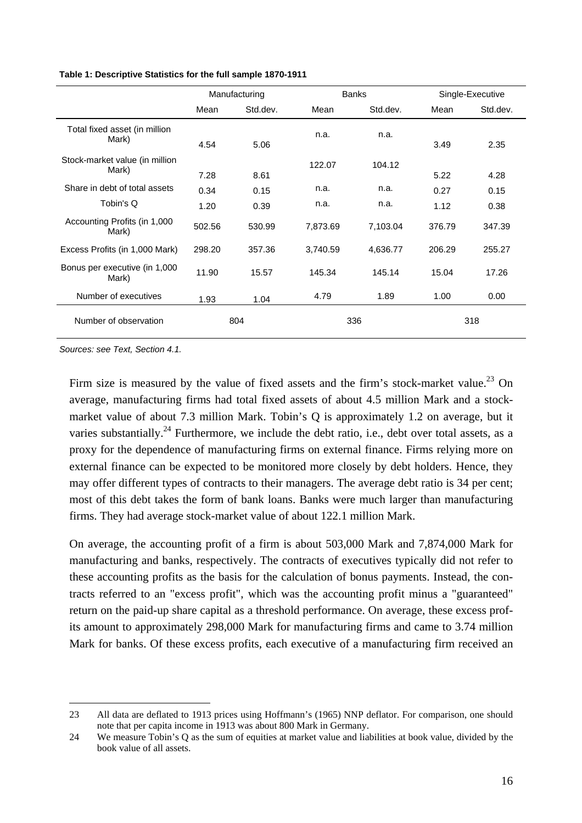|                                         | Manufacturing |          | <b>Banks</b> |          | Single-Executive |          |
|-----------------------------------------|---------------|----------|--------------|----------|------------------|----------|
|                                         | Mean          | Std.dev. | Mean         | Std.dev. | Mean             | Std.dev. |
| Total fixed asset (in million<br>Mark)  | 4.54          | 5.06     | n.a.         | n.a.     | 3.49             | 2.35     |
| Stock-market value (in million<br>Mark) | 7.28          | 8.61     | 122.07       | 104.12   | 5.22             | 4.28     |
| Share in debt of total assets           | 0.34          | 0.15     | n.a.         | n.a.     | 0.27             | 0.15     |
| Tobin's Q                               | 1.20          | 0.39     | n.a.         | n.a.     | 1.12             | 0.38     |
| Accounting Profits (in 1,000<br>Mark)   | 502.56        | 530.99   | 7,873.69     | 7,103.04 | 376.79           | 347.39   |
| Excess Profits (in 1,000 Mark)          | 298.20        | 357.36   | 3,740.59     | 4,636.77 | 206.29           | 255.27   |
| Bonus per executive (in 1,000<br>Mark)  | 11.90         | 15.57    | 145.34       | 145.14   | 15.04            | 17.26    |
| Number of executives                    | 1.93          | 1.04     | 4.79         | 1.89     | 1.00             | 0.00     |
| Number of observation                   | 804           |          | 336          |          | 318              |          |

**Table 1: Descriptive Statistics for the full sample 1870-1911** 

*Sources: see Text, Section 4.1.* 

j

Firm size is measured by the value of fixed assets and the firm's stock-market value.<sup>23</sup> On average, manufacturing firms had total fixed assets of about 4.5 million Mark and a stockmarket value of about 7.3 million Mark. Tobin's Q is approximately 1.2 on average, but it varies substantially.<sup>24</sup> Furthermore, we include the debt ratio, i.e., debt over total assets, as a proxy for the dependence of manufacturing firms on external finance. Firms relying more on external finance can be expected to be monitored more closely by debt holders. Hence, they may offer different types of contracts to their managers. The average debt ratio is 34 per cent; most of this debt takes the form of bank loans. Banks were much larger than manufacturing firms. They had average stock-market value of about 122.1 million Mark.

On average, the accounting profit of a firm is about 503,000 Mark and 7,874,000 Mark for manufacturing and banks, respectively. The contracts of executives typically did not refer to these accounting profits as the basis for the calculation of bonus payments. Instead, the contracts referred to an "excess profit", which was the accounting profit minus a "guaranteed" return on the paid-up share capital as a threshold performance. On average, these excess profits amount to approximately 298,000 Mark for manufacturing firms and came to 3.74 million Mark for banks. Of these excess profits, each executive of a manufacturing firm received an

<sup>23</sup> All data are deflated to 1913 prices using Hoffmann's (1965) NNP deflator. For comparison, one should note that per capita income in 1913 was about 800 Mark in Germany.

<sup>24</sup> We measure Tobin's Q as the sum of equities at market value and liabilities at book value, divided by the book value of all assets.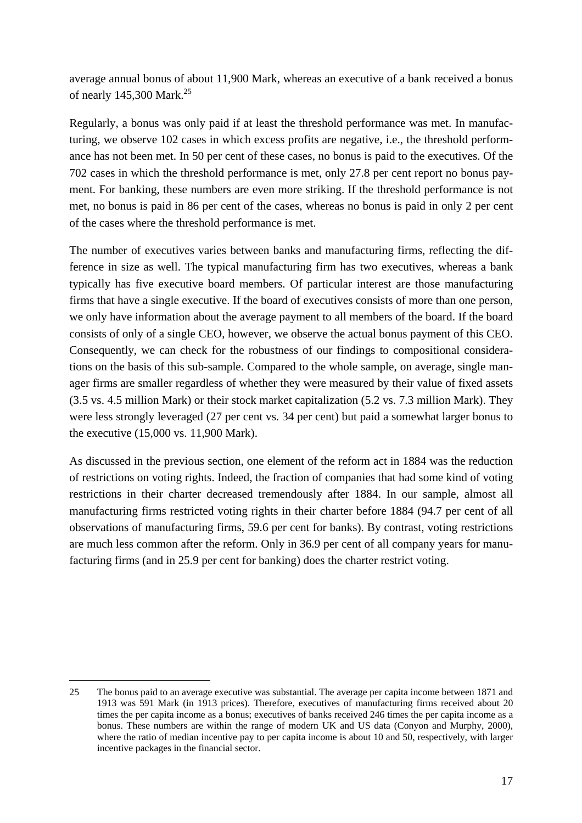average annual bonus of about 11,900 Mark, whereas an executive of a bank received a bonus of nearly  $145,300$  Mark.<sup>25</sup>

Regularly, a bonus was only paid if at least the threshold performance was met. In manufacturing, we observe 102 cases in which excess profits are negative, i.e., the threshold performance has not been met. In 50 per cent of these cases, no bonus is paid to the executives. Of the 702 cases in which the threshold performance is met, only 27.8 per cent report no bonus payment. For banking, these numbers are even more striking. If the threshold performance is not met, no bonus is paid in 86 per cent of the cases, whereas no bonus is paid in only 2 per cent of the cases where the threshold performance is met.

The number of executives varies between banks and manufacturing firms, reflecting the difference in size as well. The typical manufacturing firm has two executives, whereas a bank typically has five executive board members. Of particular interest are those manufacturing firms that have a single executive. If the board of executives consists of more than one person, we only have information about the average payment to all members of the board. If the board consists of only of a single CEO, however, we observe the actual bonus payment of this CEO. Consequently, we can check for the robustness of our findings to compositional considerations on the basis of this sub-sample. Compared to the whole sample, on average, single manager firms are smaller regardless of whether they were measured by their value of fixed assets (3.5 vs. 4.5 million Mark) or their stock market capitalization (5.2 vs. 7.3 million Mark). They were less strongly leveraged (27 per cent vs. 34 per cent) but paid a somewhat larger bonus to the executive (15,000 vs. 11,900 Mark).

As discussed in the previous section, one element of the reform act in 1884 was the reduction of restrictions on voting rights. Indeed, the fraction of companies that had some kind of voting restrictions in their charter decreased tremendously after 1884. In our sample, almost all manufacturing firms restricted voting rights in their charter before 1884 (94.7 per cent of all observations of manufacturing firms, 59.6 per cent for banks). By contrast, voting restrictions are much less common after the reform. Only in 36.9 per cent of all company years for manufacturing firms (and in 25.9 per cent for banking) does the charter restrict voting.

<sup>25</sup> The bonus paid to an average executive was substantial. The average per capita income between 1871 and 1913 was 591 Mark (in 1913 prices). Therefore, executives of manufacturing firms received about 20 times the per capita income as a bonus; executives of banks received 246 times the per capita income as a bonus. These numbers are within the range of modern UK and US data (Conyon and Murphy, 2000), where the ratio of median incentive pay to per capita income is about 10 and 50, respectively, with larger incentive packages in the financial sector.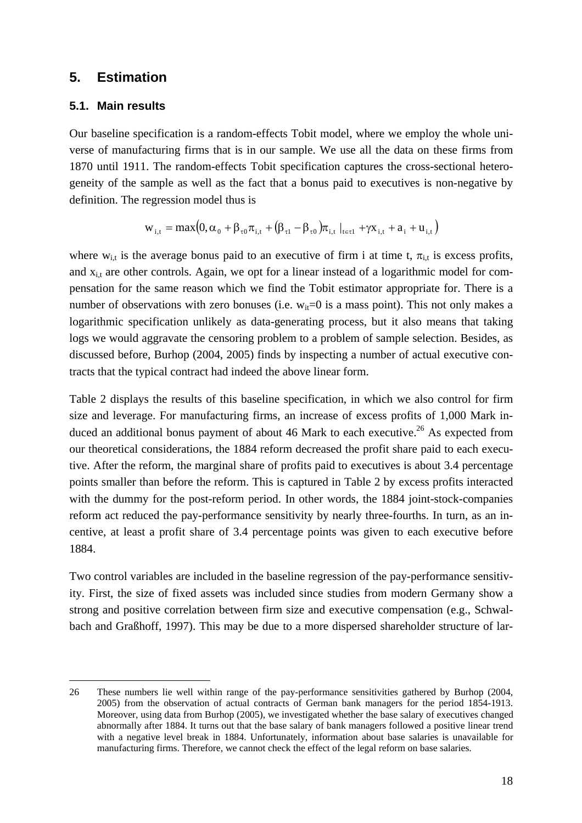### **5. Estimation**

#### **5.1. Main results**

j

Our baseline specification is a random-effects Tobit model, where we employ the whole universe of manufacturing firms that is in our sample. We use all the data on these firms from 1870 until 1911. The random-effects Tobit specification captures the cross-sectional heterogeneity of the sample as well as the fact that a bonus paid to executives is non-negative by definition. The regression model thus is

$$
w_{i,t} = max(0, \alpha_0 + \beta_{\tau 0} \pi_{i,t} + (\beta_{\tau 1} - \beta_{\tau 0}) \pi_{i,t} |_{t \in \tau 1} + \gamma x_{i,t} + a_i + u_{i,t})
$$

where  $w_{i,t}$  is the average bonus paid to an executive of firm i at time t,  $\pi_{i,t}$  is excess profits, and  $x_{i,t}$  are other controls. Again, we opt for a linear instead of a logarithmic model for compensation for the same reason which we find the Tobit estimator appropriate for. There is a number of observations with zero bonuses (i.e.  $w_{it}=0$  is a mass point). This not only makes a logarithmic specification unlikely as data-generating process, but it also means that taking logs we would aggravate the censoring problem to a problem of sample selection. Besides, as discussed before, Burhop (2004, 2005) finds by inspecting a number of actual executive contracts that the typical contract had indeed the above linear form.

Table 2 displays the results of this baseline specification, in which we also control for firm size and leverage. For manufacturing firms, an increase of excess profits of 1,000 Mark induced an additional bonus payment of about 46 Mark to each executive.<sup>26</sup> As expected from our theoretical considerations, the 1884 reform decreased the profit share paid to each executive. After the reform, the marginal share of profits paid to executives is about 3.4 percentage points smaller than before the reform. This is captured in Table 2 by excess profits interacted with the dummy for the post-reform period. In other words, the 1884 joint-stock-companies reform act reduced the pay-performance sensitivity by nearly three-fourths. In turn, as an incentive, at least a profit share of 3.4 percentage points was given to each executive before 1884.

Two control variables are included in the baseline regression of the pay-performance sensitivity. First, the size of fixed assets was included since studies from modern Germany show a strong and positive correlation between firm size and executive compensation (e.g., Schwalbach and Graßhoff, 1997). This may be due to a more dispersed shareholder structure of lar-

<sup>26</sup> These numbers lie well within range of the pay-performance sensitivities gathered by Burhop (2004, 2005) from the observation of actual contracts of German bank managers for the period 1854-1913. Moreover, using data from Burhop (2005), we investigated whether the base salary of executives changed abnormally after 1884. It turns out that the base salary of bank managers followed a positive linear trend with a negative level break in 1884. Unfortunately, information about base salaries is unavailable for manufacturing firms. Therefore, we cannot check the effect of the legal reform on base salaries.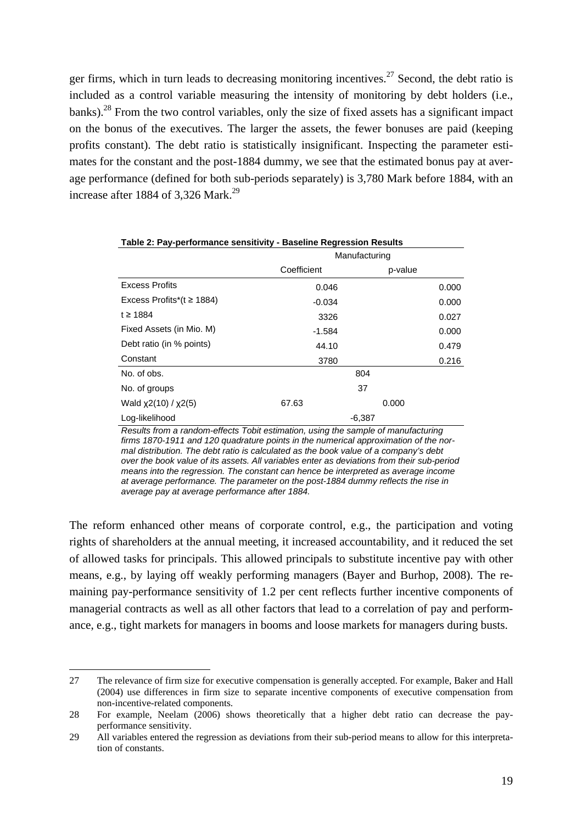ger firms, which in turn leads to decreasing monitoring incentives.<sup>27</sup> Second, the debt ratio is included as a control variable measuring the intensity of monitoring by debt holders (i.e., banks).<sup>28</sup> From the two control variables, only the size of fixed assets has a significant impact on the bonus of the executives. The larger the assets, the fewer bonuses are paid (keeping profits constant). The debt ratio is statistically insignificant. Inspecting the parameter estimates for the constant and the post-1884 dummy, we see that the estimated bonus pay at average performance (defined for both sub-periods separately) is 3,780 Mark before 1884, with an increase after 1884 of 3.326 Mark.<sup>29</sup>

| Table 2: Pay-performance sensitivity - Baseline Regression Results |               |          |       |  |
|--------------------------------------------------------------------|---------------|----------|-------|--|
|                                                                    | Manufacturing |          |       |  |
|                                                                    | Coefficient   | p-value  |       |  |
| <b>Excess Profits</b>                                              | 0.046         |          | 0.000 |  |
| Excess Profits*( $t \ge 1884$ )                                    | -0.034        |          | 0.000 |  |
| t ≥ 1884                                                           | 3326          |          | 0.027 |  |
| Fixed Assets (in Mio. M)                                           | -1.584        |          | 0.000 |  |
| Debt ratio (in % points)                                           | 44.10         |          | 0.479 |  |
| Constant                                                           | 3780          |          | 0.216 |  |
| No. of obs.                                                        |               | 804      |       |  |
| No. of groups                                                      |               | 37       |       |  |
| Wald $x2(10) / x2(5)$                                              | 67.63         | 0.000    |       |  |
| Log-likelihood                                                     |               | $-6,387$ |       |  |

*Results from a random-effects Tobit estimation, using the sample of manufacturing firms 1870-1911 and 120 quadrature points in the numerical approximation of the normal distribution. The debt ratio is calculated as the book value of a company's debt over the book value of its assets. All variables enter as deviations from their sub-period means into the regression. The constant can hence be interpreted as average income at average performance. The parameter on the post-1884 dummy reflects the rise in* 

*average pay at average performance after 1884.* 

j

The reform enhanced other means of corporate control, e.g., the participation and voting rights of shareholders at the annual meeting, it increased accountability, and it reduced the set of allowed tasks for principals. This allowed principals to substitute incentive pay with other means, e.g., by laying off weakly performing managers (Bayer and Burhop, 2008). The remaining pay-performance sensitivity of 1.2 per cent reflects further incentive components of managerial contracts as well as all other factors that lead to a correlation of pay and performance, e.g., tight markets for managers in booms and loose markets for managers during busts.

<sup>27</sup> The relevance of firm size for executive compensation is generally accepted. For example, Baker and Hall (2004) use differences in firm size to separate incentive components of executive compensation from non-incentive-related components.

<sup>28</sup> For example, Neelam (2006) shows theoretically that a higher debt ratio can decrease the payperformance sensitivity.

<sup>29</sup> All variables entered the regression as deviations from their sub-period means to allow for this interpretation of constants.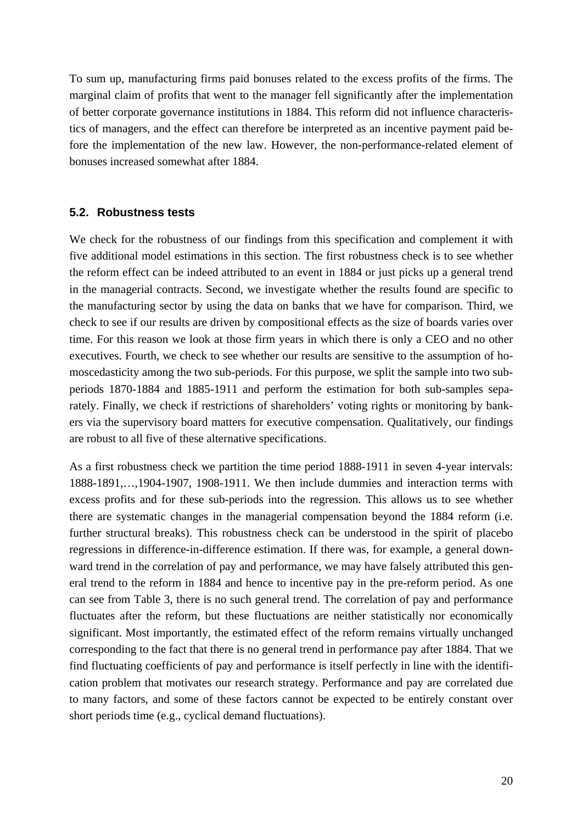To sum up, manufacturing firms paid bonuses related to the excess profits of the firms. The marginal claim of profits that went to the manager fell significantly after the implementation of better corporate governance institutions in 1884. This reform did not influence characteristics of managers, and the effect can therefore be interpreted as an incentive payment paid before the implementation of the new law. However, the non-performance-related element of bonuses increased somewhat after 1884.

### **5.2. Robustness tests**

We check for the robustness of our findings from this specification and complement it with five additional model estimations in this section. The first robustness check is to see whether the reform effect can be indeed attributed to an event in 1884 or just picks up a general trend in the managerial contracts. Second, we investigate whether the results found are specific to the manufacturing sector by using the data on banks that we have for comparison. Third, we check to see if our results are driven by compositional effects as the size of boards varies over time. For this reason we look at those firm years in which there is only a CEO and no other executives. Fourth, we check to see whether our results are sensitive to the assumption of homoscedasticity among the two sub-periods. For this purpose, we split the sample into two subperiods 1870-1884 and 1885-1911 and perform the estimation for both sub-samples separately. Finally, we check if restrictions of shareholders' voting rights or monitoring by bankers via the supervisory board matters for executive compensation. Qualitatively, our findings are robust to all five of these alternative specifications.

As a first robustness check we partition the time period 1888-1911 in seven 4-year intervals: 1888-1891,…,1904-1907, 1908-1911. We then include dummies and interaction terms with excess profits and for these sub-periods into the regression. This allows us to see whether there are systematic changes in the managerial compensation beyond the 1884 reform (i.e. further structural breaks). This robustness check can be understood in the spirit of placebo regressions in difference-in-difference estimation. If there was, for example, a general downward trend in the correlation of pay and performance, we may have falsely attributed this general trend to the reform in 1884 and hence to incentive pay in the pre-reform period. As one can see from Table 3, there is no such general trend. The correlation of pay and performance fluctuates after the reform, but these fluctuations are neither statistically nor economically significant. Most importantly, the estimated effect of the reform remains virtually unchanged corresponding to the fact that there is no general trend in performance pay after 1884. That we find fluctuating coefficients of pay and performance is itself perfectly in line with the identification problem that motivates our research strategy. Performance and pay are correlated due to many factors, and some of these factors cannot be expected to be entirely constant over short periods time (e.g., cyclical demand fluctuations).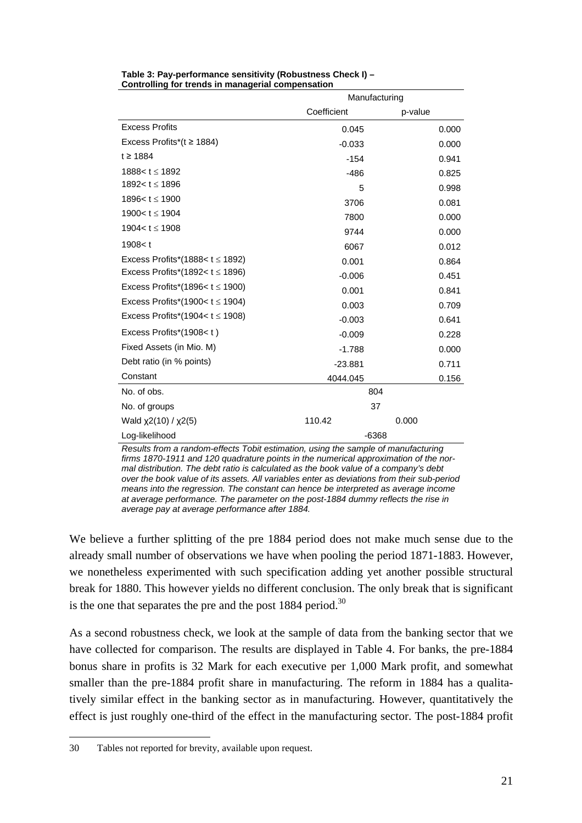|                                                                                  | Manufacturing |         |  |
|----------------------------------------------------------------------------------|---------------|---------|--|
|                                                                                  | Coefficient   | p-value |  |
| <b>Excess Profits</b>                                                            | 0.045         | 0.000   |  |
| Excess Profits*( $t \ge 1884$ )                                                  | $-0.033$      | 0.000   |  |
| t ≥ 1884                                                                         | $-154$        | 0.941   |  |
| 1888 <t 1892<="" td="" ≤=""><td><math>-486</math></td><td>0.825</td></t>         | $-486$        | 0.825   |  |
| 1892< $t \le 1896$                                                               | 5             | 0.998   |  |
| 1896< $t \le 1900$                                                               | 3706          | 0.081   |  |
| 1900< $t \le 1904$                                                               | 7800          | 0.000   |  |
| 1904< $t \le 1908$                                                               | 9744          | 0.000   |  |
| 1908 < t                                                                         | 6067          | 0.012   |  |
| Excess Profits*(1888< $t \le 1892$ )                                             | 0.001         | 0.864   |  |
| Excess Profits*(1892< $t \le 1896$ )                                             | $-0.006$      | 0.451   |  |
| Excess Profits*(1896< $t \le 1900$ )                                             | 0.001         | 0.841   |  |
| Excess Profits*(1900< $t \le 1904$ )                                             | 0.003         | 0.709   |  |
| Excess Profits*(1904< $t \le 1908$ )                                             | $-0.003$      | 0.641   |  |
| Excess Profits*(1908 <t)< td=""><td><math>-0.009</math></td><td>0.228</td></t)<> | $-0.009$      | 0.228   |  |
| Fixed Assets (in Mio. M)                                                         | $-1.788$      | 0.000   |  |
| Debt ratio (in % points)                                                         | $-23.881$     | 0.711   |  |
| Constant                                                                         | 4044.045      | 0.156   |  |
| No. of obs.                                                                      | 804           |         |  |
| No. of groups                                                                    | 37            |         |  |
| Wald $\chi$ 2(10) / $\chi$ 2(5)                                                  | 110.42        | 0.000   |  |
| Log-likelihood                                                                   | $-6368$       |         |  |

#### **Table 3: Pay-performance sensitivity (Robustness Check I) – Controlling for trends in managerial compensation**

*Results from a random-effects Tobit estimation, using the sample of manufacturing firms 1870-1911 and 120 quadrature points in the numerical approximation of the normal distribution. The debt ratio is calculated as the book value of a company's debt over the book value of its assets. All variables enter as deviations from their sub-period means into the regression. The constant can hence be interpreted as average income at average performance. The parameter on the post-1884 dummy reflects the rise in average pay at average performance after 1884.* 

We believe a further splitting of the pre 1884 period does not make much sense due to the already small number of observations we have when pooling the period 1871-1883. However, we nonetheless experimented with such specification adding yet another possible structural break for 1880. This however yields no different conclusion. The only break that is significant is the one that separates the pre and the post  $1884$  period.<sup>30</sup>

As a second robustness check, we look at the sample of data from the banking sector that we have collected for comparison. The results are displayed in Table 4. For banks, the pre-1884 bonus share in profits is 32 Mark for each executive per 1,000 Mark profit, and somewhat smaller than the pre-1884 profit share in manufacturing. The reform in 1884 has a qualitatively similar effect in the banking sector as in manufacturing. However, quantitatively the effect is just roughly one-third of the effect in the manufacturing sector. The post-1884 profit

 $\overline{a}$ 

<sup>30</sup> Tables not reported for brevity, available upon request.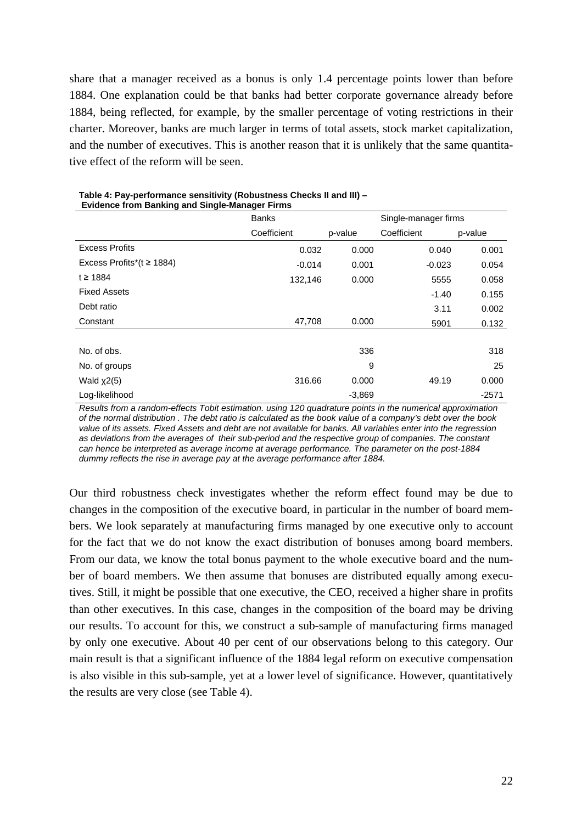share that a manager received as a bonus is only 1.4 percentage points lower than before 1884. One explanation could be that banks had better corporate governance already before 1884, being reflected, for example, by the smaller percentage of voting restrictions in their charter. Moreover, banks are much larger in terms of total assets, stock market capitalization, and the number of executives. This is another reason that it is unlikely that the same quantitative effect of the reform will be seen.

|                                 | <b>Banks</b> |          | Single-manager firms |         |  |
|---------------------------------|--------------|----------|----------------------|---------|--|
|                                 | Coefficient  | p-value  | Coefficient          | p-value |  |
| <b>Excess Profits</b>           | 0.032        | 0.000    | 0.040                | 0.001   |  |
| Excess Profits*( $t \ge 1884$ ) | $-0.014$     | 0.001    | $-0.023$             | 0.054   |  |
| t ≥ 1884                        | 132,146      | 0.000    | 5555                 | 0.058   |  |
| <b>Fixed Assets</b>             |              |          | $-1.40$              | 0.155   |  |
| Debt ratio                      |              |          | 3.11                 | 0.002   |  |
| Constant                        | 47,708       | 0.000    | 5901                 | 0.132   |  |
|                                 |              |          |                      |         |  |
| No. of obs.                     |              | 336      |                      | 318     |  |
| No. of groups                   |              | 9        |                      | 25      |  |
| Wald $x2(5)$                    | 316.66       | 0.000    | 49.19                | 0.000   |  |
| Log-likelihood                  |              | $-3,869$ |                      | $-2571$ |  |

#### **Table 4: Pay-performance sensitivity (Robustness Checks II and III) – Evidence from Banking and Single-Manager Firms**

*Results from a random-effects Tobit estimation. using 120 quadrature points in the numerical approximation of the normal distribution . The debt ratio is calculated as the book value of a company's debt over the book value of its assets. Fixed Assets and debt are not available for banks. All variables enter into the regression as deviations from the averages of their sub-period and the respective group of companies. The constant can hence be interpreted as average income at average performance. The parameter on the post-1884*  dummy reflects the rise in average pay at the average performance after 1884.

Our third robustness check investigates whether the reform effect found may be due to changes in the composition of the executive board, in particular in the number of board members. We look separately at manufacturing firms managed by one executive only to account for the fact that we do not know the exact distribution of bonuses among board members. From our data, we know the total bonus payment to the whole executive board and the number of board members. We then assume that bonuses are distributed equally among executives. Still, it might be possible that one executive, the CEO, received a higher share in profits than other executives. In this case, changes in the composition of the board may be driving our results. To account for this, we construct a sub-sample of manufacturing firms managed by only one executive. About 40 per cent of our observations belong to this category. Our main result is that a significant influence of the 1884 legal reform on executive compensation is also visible in this sub-sample, yet at a lower level of significance. However, quantitatively the results are very close (see Table 4).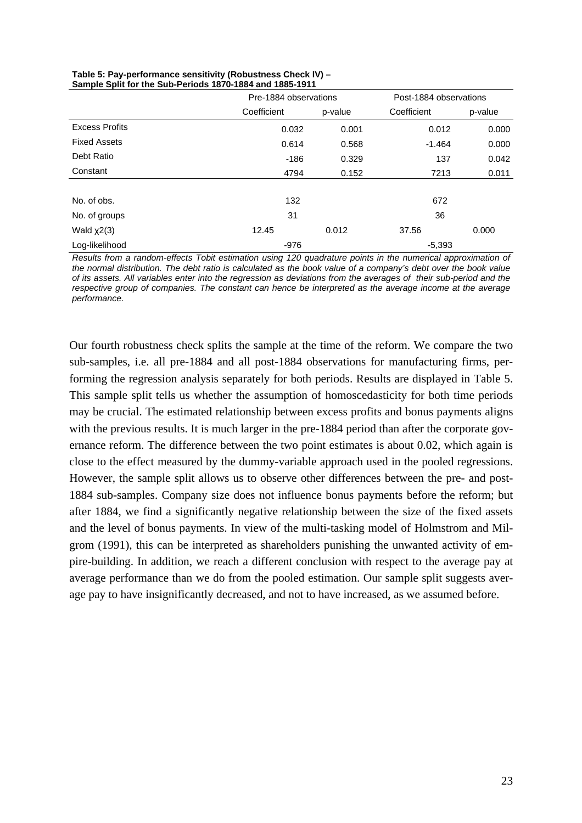|                       | Pre-1884 observations |         | Post-1884 observations |         |
|-----------------------|-----------------------|---------|------------------------|---------|
|                       | Coefficient           | p-value | Coefficient            | p-value |
| <b>Excess Profits</b> | 0.032                 | 0.001   | 0.012                  | 0.000   |
| <b>Fixed Assets</b>   | 0.614                 | 0.568   | $-1.464$               | 0.000   |
| Debt Ratio            | $-186$                | 0.329   | 137                    | 0.042   |
| Constant              | 4794                  | 0.152   | 7213                   | 0.011   |
|                       |                       |         |                        |         |
| No. of obs.           | 132                   |         | 672                    |         |
| No. of groups         | 31                    |         | 36                     |         |
| Wald $x2(3)$          | 12.45                 | 0.012   | 37.56                  | 0.000   |
| Log-likelihood        | -976                  |         | $-5,393$               |         |

#### **Table 5: Pay-performance sensitivity (Robustness Check IV) – Sample Split for the Sub-Periods 1870-1884 and 1885-1911**

*Results from a random-effects Tobit estimation using 120 quadrature points in the numerical approximation of the normal distribution. The debt ratio is calculated as the book value of a company's debt over the book value of its assets. All variables enter into the regression as deviations from the averages of their sub-period and the respective group of companies. The constant can hence be interpreted as the average income at the average performance.* 

Our fourth robustness check splits the sample at the time of the reform. We compare the two sub-samples, i.e. all pre-1884 and all post-1884 observations for manufacturing firms, performing the regression analysis separately for both periods. Results are displayed in Table 5. This sample split tells us whether the assumption of homoscedasticity for both time periods may be crucial. The estimated relationship between excess profits and bonus payments aligns with the previous results. It is much larger in the pre-1884 period than after the corporate governance reform. The difference between the two point estimates is about 0.02, which again is close to the effect measured by the dummy-variable approach used in the pooled regressions. However, the sample split allows us to observe other differences between the pre- and post-1884 sub-samples. Company size does not influence bonus payments before the reform; but after 1884, we find a significantly negative relationship between the size of the fixed assets and the level of bonus payments. In view of the multi-tasking model of Holmstrom and Milgrom (1991), this can be interpreted as shareholders punishing the unwanted activity of empire-building. In addition, we reach a different conclusion with respect to the average pay at average performance than we do from the pooled estimation. Our sample split suggests average pay to have insignificantly decreased, and not to have increased, as we assumed before.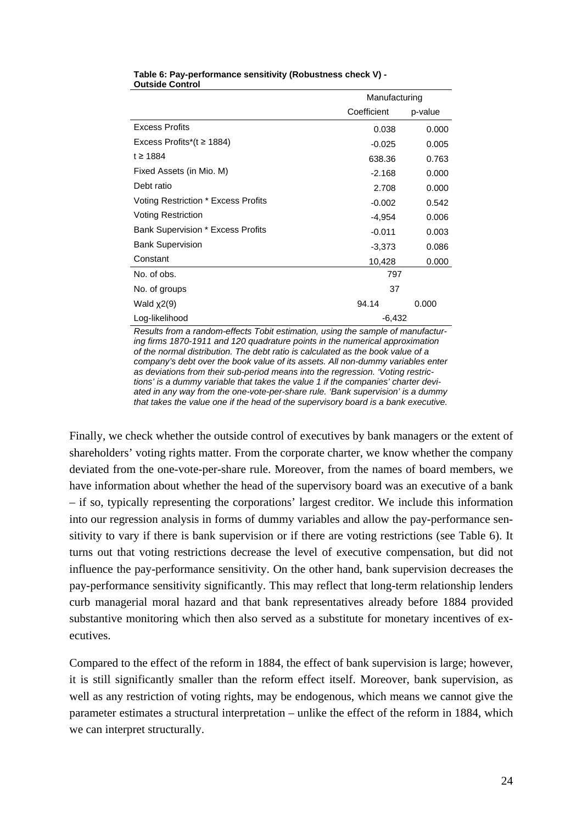|                                          |                | Manufacturing |  |
|------------------------------------------|----------------|---------------|--|
|                                          | Coefficient    | p-value       |  |
| <b>Excess Profits</b>                    | 0.038          | 0.000         |  |
| Excess Profits*( $t \ge 1884$ )          | $-0.025$       | 0.005         |  |
| t ≥ 1884                                 | 638.36         | 0.763         |  |
| Fixed Assets (in Mio. M)                 | $-2.168$       | 0.000         |  |
| Debt ratio                               | 2.708          | 0.000         |  |
| Voting Restriction * Excess Profits      | $-0.002$       | 0.542         |  |
| <b>Voting Restriction</b>                | $-4,954$       | 0.006         |  |
| <b>Bank Supervision * Excess Profits</b> | $-0.011$       | 0.003         |  |
| <b>Bank Supervision</b>                  | $-3,373$       | 0.086         |  |
| Constant                                 | 10,428         | 0.000         |  |
| No. of obs.                              | 797            |               |  |
| No. of groups                            | 37             |               |  |
| Wald $x2(9)$                             | 94.14<br>0.000 |               |  |
| Log-likelihood                           |                | $-6,432$      |  |

#### **Table 6: Pay-performance sensitivity (Robustness check V) - Outside Control**

*Results from a random-effects Tobit estimation, using the sample of manufacturing firms 1870-1911 and 120 quadrature points in the numerical approximation of the normal distribution. The debt ratio is calculated as the book value of a company's debt over the book value of its assets. All non-dummy variables enter as deviations from their sub-period means into the regression. 'Voting restrictions' is a dummy variable that takes the value 1 if the companies' charter deviated in any way from the one-vote-per-share rule. 'Bank supervision' is a dummy that takes the value one if the head of the supervisory board is a bank executive.* 

Finally, we check whether the outside control of executives by bank managers or the extent of shareholders' voting rights matter. From the corporate charter, we know whether the company deviated from the one-vote-per-share rule. Moreover, from the names of board members, we have information about whether the head of the supervisory board was an executive of a bank – if so, typically representing the corporations' largest creditor. We include this information into our regression analysis in forms of dummy variables and allow the pay-performance sensitivity to vary if there is bank supervision or if there are voting restrictions (see Table 6). It turns out that voting restrictions decrease the level of executive compensation, but did not influence the pay-performance sensitivity. On the other hand, bank supervision decreases the pay-performance sensitivity significantly. This may reflect that long-term relationship lenders curb managerial moral hazard and that bank representatives already before 1884 provided substantive monitoring which then also served as a substitute for monetary incentives of executives.

Compared to the effect of the reform in 1884, the effect of bank supervision is large; however, it is still significantly smaller than the reform effect itself. Moreover, bank supervision, as well as any restriction of voting rights, may be endogenous, which means we cannot give the parameter estimates a structural interpretation – unlike the effect of the reform in 1884, which we can interpret structurally.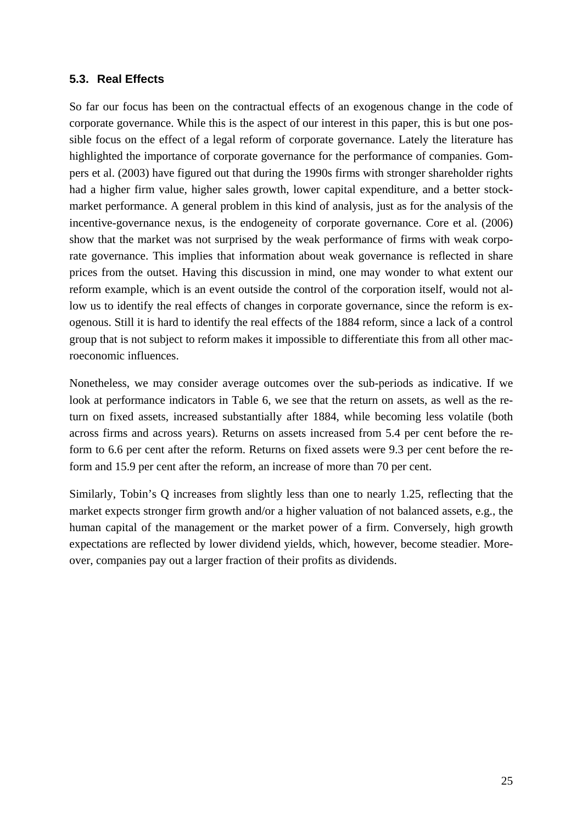### **5.3. Real Effects**

So far our focus has been on the contractual effects of an exogenous change in the code of corporate governance. While this is the aspect of our interest in this paper, this is but one possible focus on the effect of a legal reform of corporate governance. Lately the literature has highlighted the importance of corporate governance for the performance of companies. Gompers et al. (2003) have figured out that during the 1990s firms with stronger shareholder rights had a higher firm value, higher sales growth, lower capital expenditure, and a better stockmarket performance. A general problem in this kind of analysis, just as for the analysis of the incentive-governance nexus, is the endogeneity of corporate governance. Core et al. (2006) show that the market was not surprised by the weak performance of firms with weak corporate governance. This implies that information about weak governance is reflected in share prices from the outset. Having this discussion in mind, one may wonder to what extent our reform example, which is an event outside the control of the corporation itself, would not allow us to identify the real effects of changes in corporate governance, since the reform is exogenous. Still it is hard to identify the real effects of the 1884 reform, since a lack of a control group that is not subject to reform makes it impossible to differentiate this from all other macroeconomic influences.

Nonetheless, we may consider average outcomes over the sub-periods as indicative. If we look at performance indicators in Table 6, we see that the return on assets, as well as the return on fixed assets, increased substantially after 1884, while becoming less volatile (both across firms and across years). Returns on assets increased from 5.4 per cent before the reform to 6.6 per cent after the reform. Returns on fixed assets were 9.3 per cent before the reform and 15.9 per cent after the reform, an increase of more than 70 per cent.

Similarly, Tobin's Q increases from slightly less than one to nearly 1.25, reflecting that the market expects stronger firm growth and/or a higher valuation of not balanced assets, e.g., the human capital of the management or the market power of a firm. Conversely, high growth expectations are reflected by lower dividend yields, which, however, become steadier. Moreover, companies pay out a larger fraction of their profits as dividends.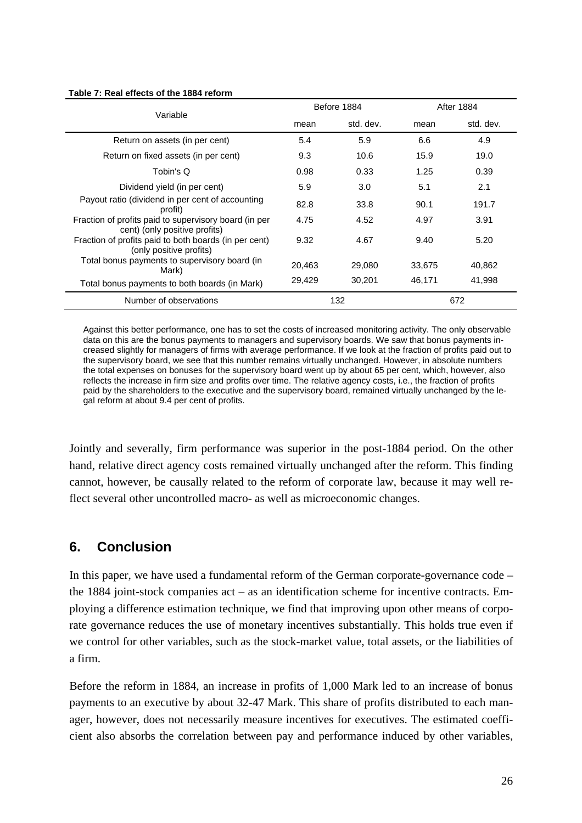| Variable                                                                               | Before 1884 |           | <b>After 1884</b> |           |
|----------------------------------------------------------------------------------------|-------------|-----------|-------------------|-----------|
|                                                                                        | mean        | std. dev. | mean              | std. dev. |
| Return on assets (in per cent)                                                         | 5.4         | 5.9       | 6.6               | 4.9       |
| Return on fixed assets (in per cent)                                                   | 9.3         | 10.6      | 15.9              | 19.0      |
| Tobin's Q                                                                              | 0.98        | 0.33      | 1.25              | 0.39      |
| Dividend yield (in per cent)                                                           | 5.9         | 3.0       | 5.1               | 2.1       |
| Payout ratio (dividend in per cent of accounting<br>profit)                            | 82.8        | 33.8      | 90.1              | 191.7     |
| Fraction of profits paid to supervisory board (in per<br>cent) (only positive profits) | 4.75        | 4.52      | 4.97              | 3.91      |
| Fraction of profits paid to both boards (in per cent)<br>(only positive profits)       | 9.32        | 4.67      | 9.40              | 5.20      |
| Total bonus payments to supervisory board (in<br>Mark)                                 | 20.463      | 29,080    | 33,675            | 40.862    |
| Total bonus payments to both boards (in Mark)                                          | 29,429      | 30.201    | 46,171            | 41,998    |
| Number of observations                                                                 |             | 132       |                   | 672       |

#### **Table 7: Real effects of the 1884 reform**

Against this better performance, one has to set the costs of increased monitoring activity. The only observable data on this are the bonus payments to managers and supervisory boards. We saw that bonus payments increased slightly for managers of firms with average performance. If we look at the fraction of profits paid out to the supervisory board, we see that this number remains virtually unchanged. However, in absolute numbers the total expenses on bonuses for the supervisory board went up by about 65 per cent, which, however, also reflects the increase in firm size and profits over time. The relative agency costs, i.e., the fraction of profits paid by the shareholders to the executive and the supervisory board, remained virtually unchanged by the legal reform at about 9.4 per cent of profits.

Jointly and severally, firm performance was superior in the post-1884 period. On the other hand, relative direct agency costs remained virtually unchanged after the reform. This finding cannot, however, be causally related to the reform of corporate law, because it may well reflect several other uncontrolled macro- as well as microeconomic changes.

# **6. Conclusion**

In this paper, we have used a fundamental reform of the German corporate-governance code – the 1884 joint-stock companies act – as an identification scheme for incentive contracts. Employing a difference estimation technique, we find that improving upon other means of corporate governance reduces the use of monetary incentives substantially. This holds true even if we control for other variables, such as the stock-market value, total assets, or the liabilities of a firm.

Before the reform in 1884, an increase in profits of 1,000 Mark led to an increase of bonus payments to an executive by about 32-47 Mark. This share of profits distributed to each manager, however, does not necessarily measure incentives for executives. The estimated coefficient also absorbs the correlation between pay and performance induced by other variables,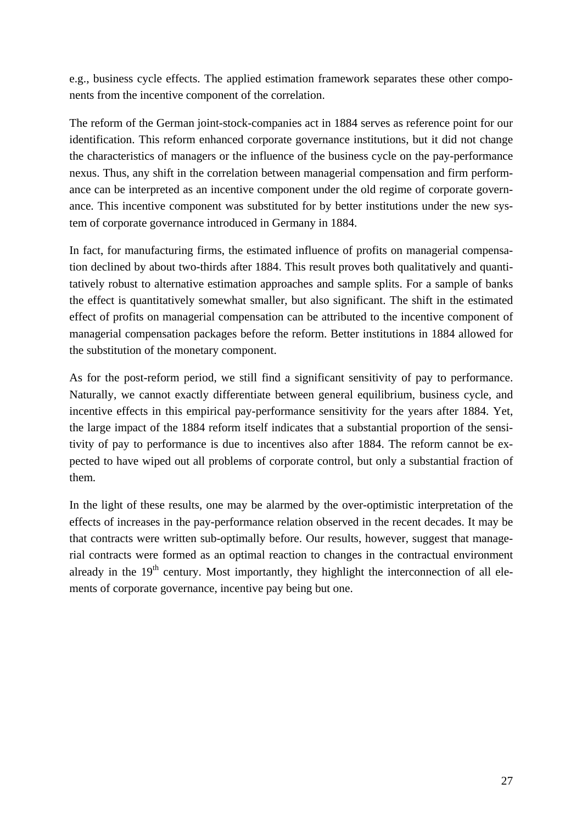e.g., business cycle effects. The applied estimation framework separates these other components from the incentive component of the correlation.

The reform of the German joint-stock-companies act in 1884 serves as reference point for our identification. This reform enhanced corporate governance institutions, but it did not change the characteristics of managers or the influence of the business cycle on the pay-performance nexus. Thus, any shift in the correlation between managerial compensation and firm performance can be interpreted as an incentive component under the old regime of corporate governance. This incentive component was substituted for by better institutions under the new system of corporate governance introduced in Germany in 1884.

In fact, for manufacturing firms, the estimated influence of profits on managerial compensation declined by about two-thirds after 1884. This result proves both qualitatively and quantitatively robust to alternative estimation approaches and sample splits. For a sample of banks the effect is quantitatively somewhat smaller, but also significant. The shift in the estimated effect of profits on managerial compensation can be attributed to the incentive component of managerial compensation packages before the reform. Better institutions in 1884 allowed for the substitution of the monetary component.

As for the post-reform period, we still find a significant sensitivity of pay to performance. Naturally, we cannot exactly differentiate between general equilibrium, business cycle, and incentive effects in this empirical pay-performance sensitivity for the years after 1884. Yet, the large impact of the 1884 reform itself indicates that a substantial proportion of the sensitivity of pay to performance is due to incentives also after 1884. The reform cannot be expected to have wiped out all problems of corporate control, but only a substantial fraction of them.

In the light of these results, one may be alarmed by the over-optimistic interpretation of the effects of increases in the pay-performance relation observed in the recent decades. It may be that contracts were written sub-optimally before. Our results, however, suggest that managerial contracts were formed as an optimal reaction to changes in the contractual environment already in the  $19<sup>th</sup>$  century. Most importantly, they highlight the interconnection of all elements of corporate governance, incentive pay being but one.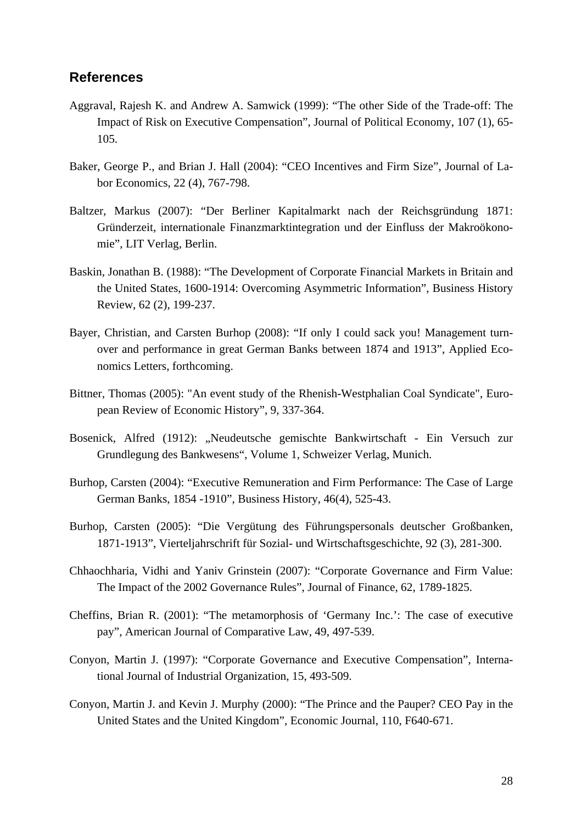### **References**

- Aggraval, Rajesh K. and Andrew A. Samwick (1999): "The other Side of the Trade-off: The Impact of Risk on Executive Compensation", Journal of Political Economy, 107 (1), 65- 105.
- Baker, George P., and Brian J. Hall (2004): "CEO Incentives and Firm Size", Journal of Labor Economics, 22 (4), 767-798.
- Baltzer, Markus (2007): "Der Berliner Kapitalmarkt nach der Reichsgründung 1871: Gründerzeit, internationale Finanzmarktintegration und der Einfluss der Makroökonomie", LIT Verlag, Berlin.
- Baskin, Jonathan B. (1988): "The Development of Corporate Financial Markets in Britain and the United States, 1600-1914: Overcoming Asymmetric Information", Business History Review, 62 (2), 199-237.
- Bayer, Christian, and Carsten Burhop (2008): "If only I could sack you! Management turnover and performance in great German Banks between 1874 and 1913", Applied Economics Letters, forthcoming.
- Bittner, Thomas (2005): "An event study of the Rhenish-Westphalian Coal Syndicate", European Review of Economic History", 9, 337-364.
- Bosenick, Alfred (1912): "Neudeutsche gemischte Bankwirtschaft Ein Versuch zur Grundlegung des Bankwesens", Volume 1, Schweizer Verlag, Munich.
- Burhop, Carsten (2004): "Executive Remuneration and Firm Performance: The Case of Large German Banks, 1854 -1910", Business History, 46(4), 525-43.
- Burhop, Carsten (2005): "Die Vergütung des Führungspersonals deutscher Großbanken, 1871-1913", Vierteljahrschrift für Sozial- und Wirtschaftsgeschichte, 92 (3), 281-300.
- Chhaochharia, Vidhi and Yaniv Grinstein (2007): "Corporate Governance and Firm Value: The Impact of the 2002 Governance Rules", Journal of Finance, 62, 1789-1825.
- Cheffins, Brian R. (2001): "The metamorphosis of 'Germany Inc.': The case of executive pay", American Journal of Comparative Law, 49, 497-539.
- Conyon, Martin J. (1997): "Corporate Governance and Executive Compensation", International Journal of Industrial Organization, 15, 493-509.
- Conyon, Martin J. and Kevin J. Murphy (2000): "The Prince and the Pauper? CEO Pay in the United States and the United Kingdom", Economic Journal, 110, F640-671.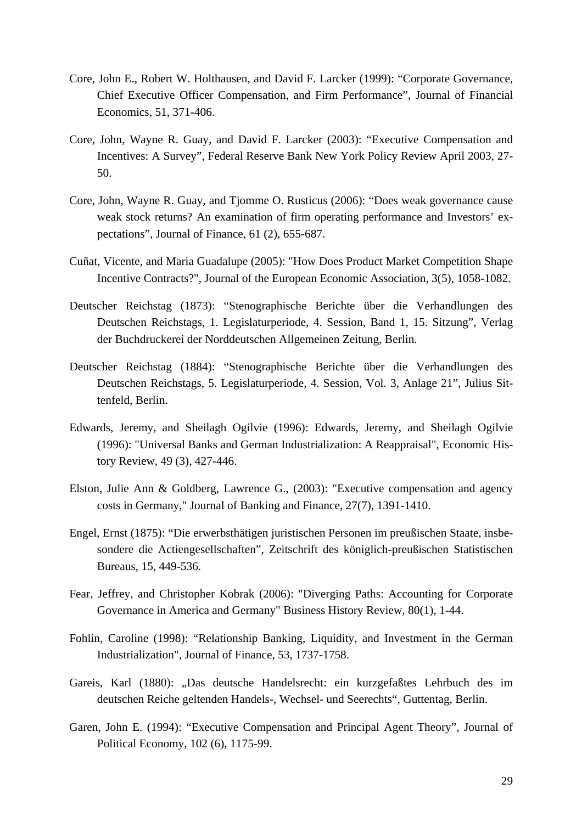- Core, John E., Robert W. Holthausen, and David F. Larcker (1999): "Corporate Governance, Chief Executive Officer Compensation, and Firm Performance", Journal of Financial Economics, 51, 371-406.
- Core, John, Wayne R. Guay, and David F. Larcker (2003): "Executive Compensation and Incentives: A Survey", Federal Reserve Bank New York Policy Review April 2003, 27- 50.
- Core, John, Wayne R. Guay, and Tjomme O. Rusticus (2006): "Does weak governance cause weak stock returns? An examination of firm operating performance and Investors' expectations", Journal of Finance, 61 (2), 655-687.
- Cuñat, Vicente, and Maria Guadalupe (2005): "How Does Product Market Competition Shape Incentive Contracts?", Journal of the European Economic Association, 3(5), 1058-1082.
- Deutscher Reichstag (1873): "Stenographische Berichte über die Verhandlungen des Deutschen Reichstags, 1. Legislaturperiode, 4. Session, Band 1, 15. Sitzung", Verlag der Buchdruckerei der Norddeutschen Allgemeinen Zeitung, Berlin.
- Deutscher Reichstag (1884): "Stenographische Berichte über die Verhandlungen des Deutschen Reichstags, 5. Legislaturperiode, 4. Session, Vol. 3, Anlage 21", Julius Sittenfeld, Berlin.
- Edwards, Jeremy, and Sheilagh Ogilvie (1996): Edwards, Jeremy, and Sheilagh Ogilvie (1996): "Universal Banks and German Industrialization: A Reappraisal", Economic History Review, 49 (3), 427-446.
- Elston, Julie Ann & Goldberg, Lawrence G., (2003): "Executive compensation and agency costs in Germany," Journal of Banking and Finance, 27(7), 1391-1410.
- Engel, Ernst (1875): "Die erwerbsthätigen juristischen Personen im preußischen Staate, insbesondere die Actiengesellschaften", Zeitschrift des königlich-preußischen Statistischen Bureaus, 15, 449-536.
- Fear, Jeffrey, and Christopher Kobrak (2006): "Diverging Paths: Accounting for Corporate Governance in America and Germany" Business History Review, 80(1), 1-44.
- Fohlin, Caroline (1998): "Relationship Banking, Liquidity, and Investment in the German Industrialization", Journal of Finance, 53, 1737-1758.
- Gareis, Karl (1880): "Das deutsche Handelsrecht: ein kurzgefaßtes Lehrbuch des im deutschen Reiche geltenden Handels-, Wechsel- und Seerechts", Guttentag, Berlin.
- Garen, John E. (1994): "Executive Compensation and Principal Agent Theory", Journal of Political Economy, 102 (6), 1175-99.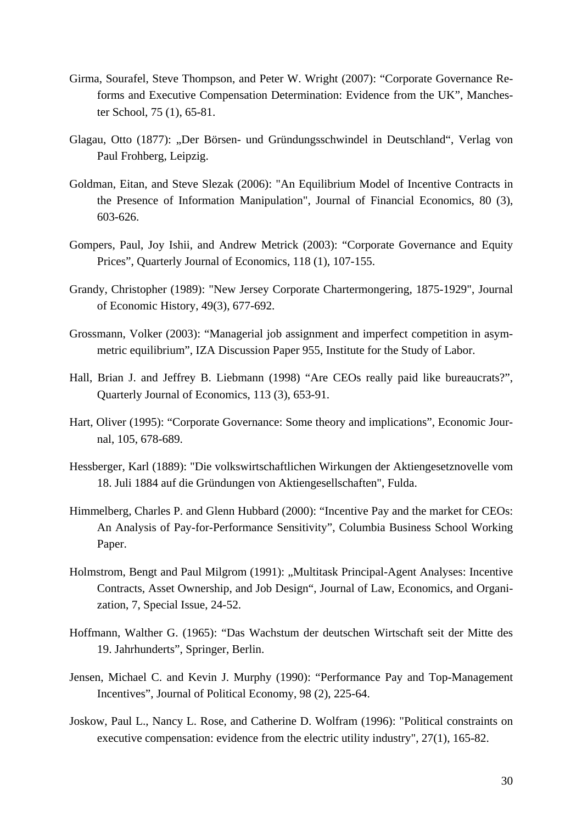- Girma, Sourafel, Steve Thompson, and Peter W. Wright (2007): "Corporate Governance Reforms and Executive Compensation Determination: Evidence from the UK", Manchester School, 75 (1), 65-81.
- Glagau, Otto (1877): "Der Börsen- und Gründungsschwindel in Deutschland", Verlag von Paul Frohberg, Leipzig.
- Goldman, Eitan, and Steve Slezak (2006): "An Equilibrium Model of Incentive Contracts in the Presence of Information Manipulation", Journal of Financial Economics, 80 (3), 603-626.
- Gompers, Paul, Joy Ishii, and Andrew Metrick (2003): "Corporate Governance and Equity Prices", Quarterly Journal of Economics, 118 (1), 107-155.
- Grandy, Christopher (1989): "New Jersey Corporate Chartermongering, 1875-1929", Journal of Economic History, 49(3), 677-692.
- Grossmann, Volker (2003): "Managerial job assignment and imperfect competition in asymmetric equilibrium", IZA Discussion Paper 955, Institute for the Study of Labor.
- Hall, Brian J. and Jeffrey B. Liebmann (1998) "Are CEOs really paid like bureaucrats?", Quarterly Journal of Economics, 113 (3), 653-91.
- Hart, Oliver (1995): "Corporate Governance: Some theory and implications", Economic Journal, 105, 678-689.
- Hessberger, Karl (1889): "Die volkswirtschaftlichen Wirkungen der Aktiengesetznovelle vom 18. Juli 1884 auf die Gründungen von Aktiengesellschaften", Fulda.
- Himmelberg, Charles P. and Glenn Hubbard (2000): "Incentive Pay and the market for CEOs: An Analysis of Pay-for-Performance Sensitivity", Columbia Business School Working Paper.
- Holmstrom, Bengt and Paul Milgrom (1991): "Multitask Principal-Agent Analyses: Incentive Contracts, Asset Ownership, and Job Design", Journal of Law, Economics, and Organization, 7, Special Issue, 24-52.
- Hoffmann, Walther G. (1965): "Das Wachstum der deutschen Wirtschaft seit der Mitte des 19. Jahrhunderts", Springer, Berlin.
- Jensen, Michael C. and Kevin J. Murphy (1990): "Performance Pay and Top-Management Incentives", Journal of Political Economy, 98 (2), 225-64.
- Joskow, Paul L., Nancy L. Rose, and Catherine D. Wolfram (1996): "Political constraints on executive compensation: evidence from the electric utility industry", 27(1), 165-82.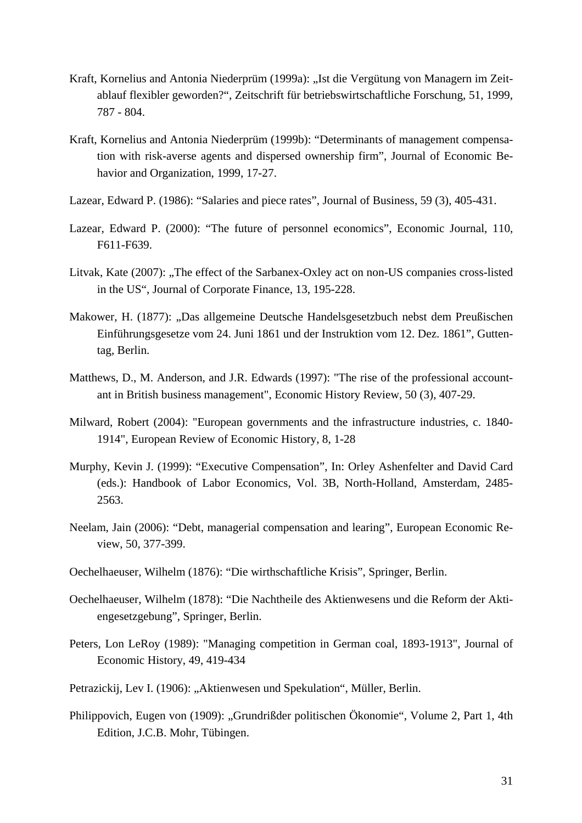- Kraft, Kornelius and Antonia Niederprüm (1999a): "Ist die Vergütung von Managern im Zeitablauf flexibler geworden?", Zeitschrift für betriebswirtschaftliche Forschung, 51, 1999, 787 - 804.
- Kraft, Kornelius and Antonia Niederprüm (1999b): "Determinants of management compensation with risk-averse agents and dispersed ownership firm", Journal of Economic Behavior and Organization, 1999, 17-27.
- Lazear, Edward P. (1986): "Salaries and piece rates", Journal of Business, 59 (3), 405-431.
- Lazear, Edward P. (2000): "The future of personnel economics", Economic Journal, 110, F611-F639.
- Litvak, Kate (2007): "The effect of the Sarbanex-Oxley act on non-US companies cross-listed in the US", Journal of Corporate Finance, 13, 195-228.
- Makower, H. (1877): "Das allgemeine Deutsche Handelsgesetzbuch nebst dem Preußischen Einführungsgesetze vom 24. Juni 1861 und der Instruktion vom 12. Dez. 1861", Guttentag, Berlin.
- Matthews, D., M. Anderson, and J.R. Edwards (1997): "The rise of the professional accountant in British business management", Economic History Review, 50 (3), 407-29.
- Milward, Robert (2004): "European governments and the infrastructure industries, c. 1840- 1914", European Review of Economic History, 8, 1-28
- Murphy, Kevin J. (1999): "Executive Compensation", In: Orley Ashenfelter and David Card (eds.): Handbook of Labor Economics, Vol. 3B, North-Holland, Amsterdam, 2485- 2563.
- Neelam, Jain (2006): "Debt, managerial compensation and learing", European Economic Review, 50, 377-399.
- Oechelhaeuser, Wilhelm (1876): "Die wirthschaftliche Krisis", Springer, Berlin.
- Oechelhaeuser, Wilhelm (1878): "Die Nachtheile des Aktienwesens und die Reform der Aktiengesetzgebung", Springer, Berlin.
- Peters, Lon LeRoy (1989): "Managing competition in German coal, 1893-1913", Journal of Economic History, 49, 419-434
- Petrazickij, Lev I. (1906): "Aktienwesen und Spekulation", Müller, Berlin.
- Philippovich, Eugen von (1909): "Grundrißder politischen Ökonomie", Volume 2, Part 1, 4th Edition, J.C.B. Mohr, Tübingen.